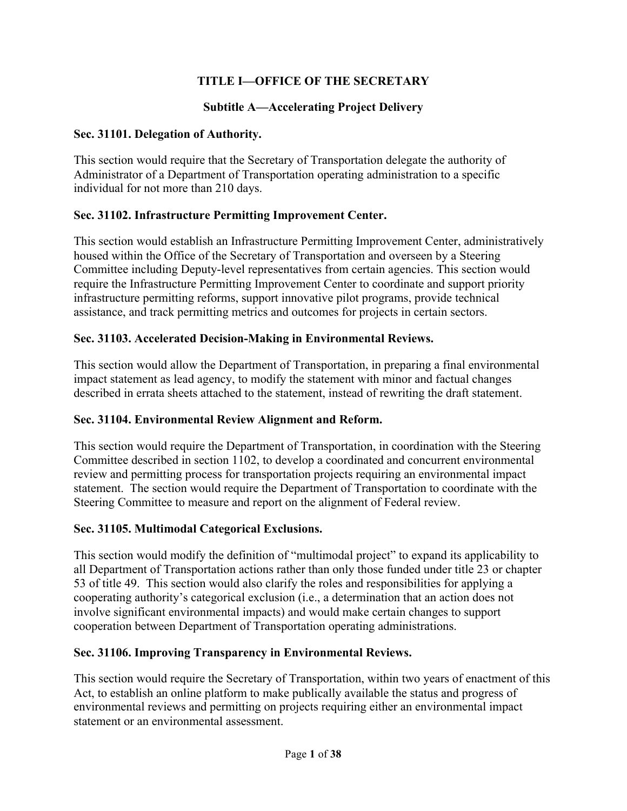# **TITLE I—OFFICE OF THE SECRETARY**

# **Subtitle A—Accelerating Project Delivery**

### **Sec. 31101. Delegation of Authority.**

This section would require that the Secretary of Transportation delegate the authority of Administrator of a Department of Transportation operating administration to a specific individual for not more than 210 days.

### **Sec. 31102. Infrastructure Permitting Improvement Center.**

This section would establish an Infrastructure Permitting Improvement Center, administratively housed within the Office of the Secretary of Transportation and overseen by a Steering Committee including Deputy-level representatives from certain agencies. This section would require the Infrastructure Permitting Improvement Center to coordinate and support priority infrastructure permitting reforms, support innovative pilot programs, provide technical assistance, and track permitting metrics and outcomes for projects in certain sectors.

### **Sec. 31103. Accelerated Decision-Making in Environmental Reviews.**

This section would allow the Department of Transportation, in preparing a final environmental impact statement as lead agency, to modify the statement with minor and factual changes described in errata sheets attached to the statement, instead of rewriting the draft statement.

#### **Sec. 31104. Environmental Review Alignment and Reform.**

This section would require the Department of Transportation, in coordination with the Steering Committee described in section 1102, to develop a coordinated and concurrent environmental review and permitting process for transportation projects requiring an environmental impact statement. The section would require the Department of Transportation to coordinate with the Steering Committee to measure and report on the alignment of Federal review.

# **Sec. 31105. Multimodal Categorical Exclusions.**

This section would modify the definition of "multimodal project" to expand its applicability to all Department of Transportation actions rather than only those funded under title 23 or chapter 53 of title 49. This section would also clarify the roles and responsibilities for applying a cooperating authority's categorical exclusion (i.e., a determination that an action does not involve significant environmental impacts) and would make certain changes to support cooperation between Department of Transportation operating administrations.

# **Sec. 31106. Improving Transparency in Environmental Reviews.**

This section would require the Secretary of Transportation, within two years of enactment of this Act, to establish an online platform to make publically available the status and progress of environmental reviews and permitting on projects requiring either an environmental impact statement or an environmental assessment.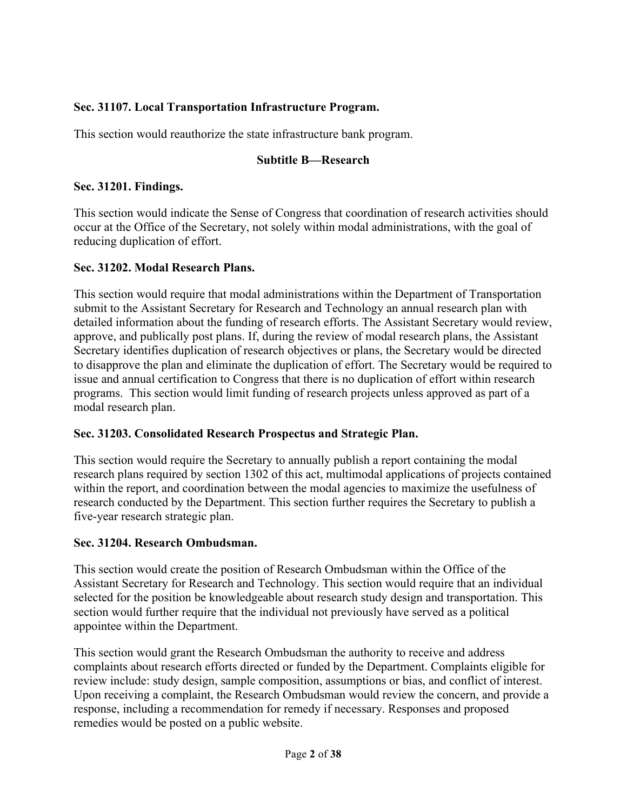# **Sec. 31107. Local Transportation Infrastructure Program.**

This section would reauthorize the state infrastructure bank program.

### **Subtitle B—Research**

#### **Sec. 31201. Findings.**

This section would indicate the Sense of Congress that coordination of research activities should occur at the Office of the Secretary, not solely within modal administrations, with the goal of reducing duplication of effort.

### **Sec. 31202. Modal Research Plans.**

This section would require that modal administrations within the Department of Transportation submit to the Assistant Secretary for Research and Technology an annual research plan with detailed information about the funding of research efforts. The Assistant Secretary would review, approve, and publically post plans. If, during the review of modal research plans, the Assistant Secretary identifies duplication of research objectives or plans, the Secretary would be directed to disapprove the plan and eliminate the duplication of effort. The Secretary would be required to issue and annual certification to Congress that there is no duplication of effort within research programs. This section would limit funding of research projects unless approved as part of a modal research plan.

# **Sec. 31203. Consolidated Research Prospectus and Strategic Plan.**

This section would require the Secretary to annually publish a report containing the modal research plans required by section 1302 of this act, multimodal applications of projects contained within the report, and coordination between the modal agencies to maximize the usefulness of research conducted by the Department. This section further requires the Secretary to publish a five-year research strategic plan.

#### **Sec. 31204. Research Ombudsman.**

This section would create the position of Research Ombudsman within the Office of the Assistant Secretary for Research and Technology. This section would require that an individual selected for the position be knowledgeable about research study design and transportation. This section would further require that the individual not previously have served as a political appointee within the Department.

This section would grant the Research Ombudsman the authority to receive and address complaints about research efforts directed or funded by the Department. Complaints eligible for review include: study design, sample composition, assumptions or bias, and conflict of interest. Upon receiving a complaint, the Research Ombudsman would review the concern, and provide a response, including a recommendation for remedy if necessary. Responses and proposed remedies would be posted on a public website.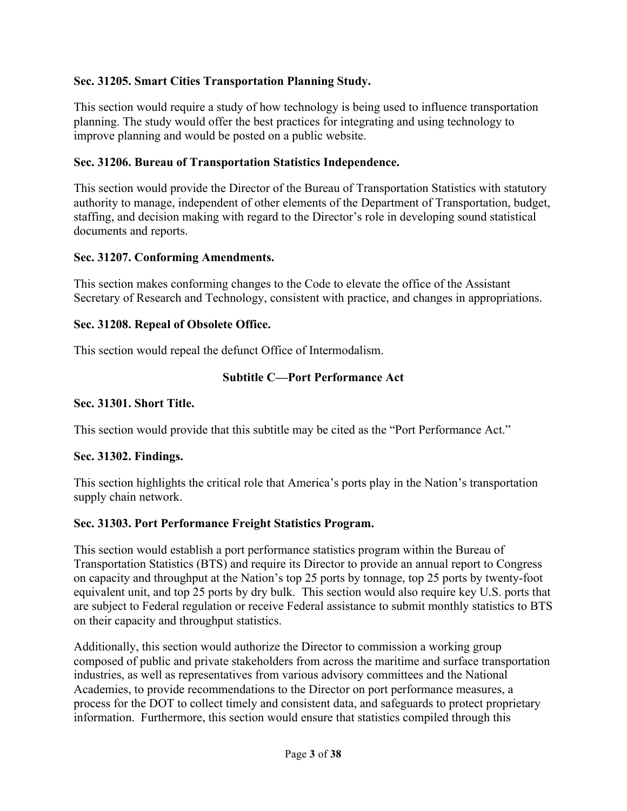## **Sec. 31205. Smart Cities Transportation Planning Study.**

This section would require a study of how technology is being used to influence transportation planning. The study would offer the best practices for integrating and using technology to improve planning and would be posted on a public website.

### **Sec. 31206. Bureau of Transportation Statistics Independence.**

This section would provide the Director of the Bureau of Transportation Statistics with statutory authority to manage, independent of other elements of the Department of Transportation, budget, staffing, and decision making with regard to the Director's role in developing sound statistical documents and reports.

#### **Sec. 31207. Conforming Amendments.**

This section makes conforming changes to the Code to elevate the office of the Assistant Secretary of Research and Technology, consistent with practice, and changes in appropriations.

#### **Sec. 31208. Repeal of Obsolete Office.**

This section would repeal the defunct Office of Intermodalism.

#### **Subtitle C—Port Performance Act**

#### **Sec. 31301. Short Title.**

This section would provide that this subtitle may be cited as the "Port Performance Act."

#### **Sec. 31302. Findings.**

This section highlights the critical role that America's ports play in the Nation's transportation supply chain network.

#### **Sec. 31303. Port Performance Freight Statistics Program.**

This section would establish a port performance statistics program within the Bureau of Transportation Statistics (BTS) and require its Director to provide an annual report to Congress on capacity and throughput at the Nation's top 25 ports by tonnage, top 25 ports by twenty-foot equivalent unit, and top 25 ports by dry bulk. This section would also require key U.S. ports that are subject to Federal regulation or receive Federal assistance to submit monthly statistics to BTS on their capacity and throughput statistics.

Additionally, this section would authorize the Director to commission a working group composed of public and private stakeholders from across the maritime and surface transportation industries, as well as representatives from various advisory committees and the National Academies, to provide recommendations to the Director on port performance measures, a process for the DOT to collect timely and consistent data, and safeguards to protect proprietary information. Furthermore, this section would ensure that statistics compiled through this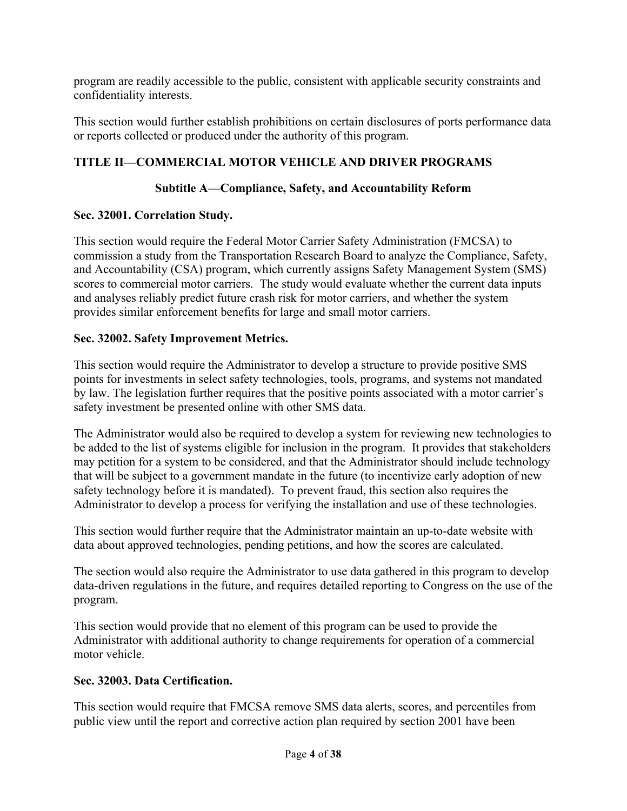program are readily accessible to the public, consistent with applicable security constraints and confidentiality interests.

This section would further establish prohibitions on certain disclosures of ports performance data or reports collected or produced under the authority of this program.

# **TITLE II—COMMERCIAL MOTOR VEHICLE AND DRIVER PROGRAMS**

# **Subtitle A—Compliance, Safety, and Accountability Reform**

# **Sec. 32001. Correlation Study.**

This section would require the Federal Motor Carrier Safety Administration (FMCSA) to commission a study from the Transportation Research Board to analyze the Compliance, Safety, and Accountability (CSA) program, which currently assigns Safety Management System (SMS) scores to commercial motor carriers. The study would evaluate whether the current data inputs and analyses reliably predict future crash risk for motor carriers, and whether the system provides similar enforcement benefits for large and small motor carriers.

# **Sec. 32002. Safety Improvement Metrics.**

This section would require the Administrator to develop a structure to provide positive SMS points for investments in select safety technologies, tools, programs, and systems not mandated by law. The legislation further requires that the positive points associated with a motor carrier's safety investment be presented online with other SMS data.

The Administrator would also be required to develop a system for reviewing new technologies to be added to the list of systems eligible for inclusion in the program. It provides that stakeholders may petition for a system to be considered, and that the Administrator should include technology that will be subject to a government mandate in the future (to incentivize early adoption of new safety technology before it is mandated). To prevent fraud, this section also requires the Administrator to develop a process for verifying the installation and use of these technologies.

This section would further require that the Administrator maintain an up-to-date website with data about approved technologies, pending petitions, and how the scores are calculated.

The section would also require the Administrator to use data gathered in this program to develop data-driven regulations in the future, and requires detailed reporting to Congress on the use of the program.

This section would provide that no element of this program can be used to provide the Administrator with additional authority to change requirements for operation of a commercial motor vehicle.

# **Sec. 32003. Data Certification.**

This section would require that FMCSA remove SMS data alerts, scores, and percentiles from public view until the report and corrective action plan required by section 2001 have been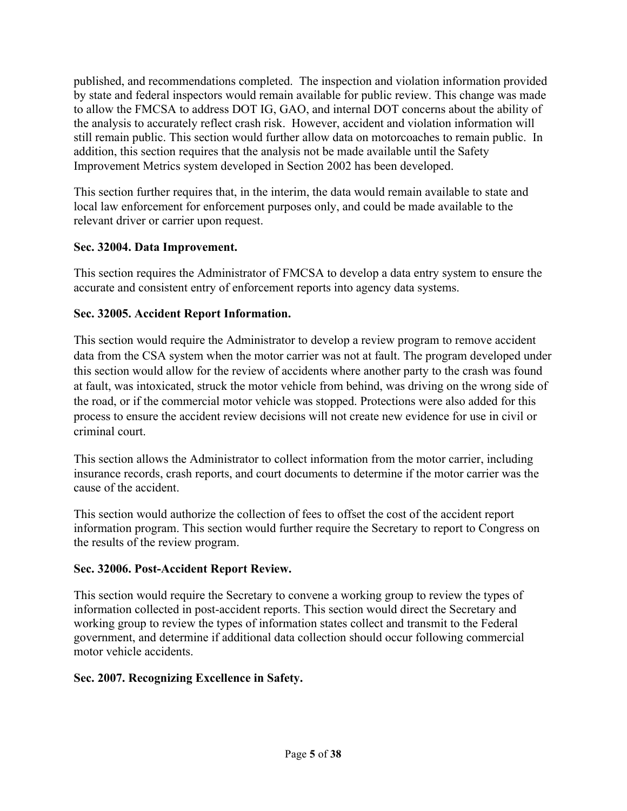published, and recommendations completed. The inspection and violation information provided by state and federal inspectors would remain available for public review. This change was made to allow the FMCSA to address DOT IG, GAO, and internal DOT concerns about the ability of the analysis to accurately reflect crash risk. However, accident and violation information will still remain public. This section would further allow data on motorcoaches to remain public. In addition, this section requires that the analysis not be made available until the Safety Improvement Metrics system developed in Section 2002 has been developed.

This section further requires that, in the interim, the data would remain available to state and local law enforcement for enforcement purposes only, and could be made available to the relevant driver or carrier upon request.

# **Sec. 32004. Data Improvement.**

This section requires the Administrator of FMCSA to develop a data entry system to ensure the accurate and consistent entry of enforcement reports into agency data systems.

# **Sec. 32005. Accident Report Information.**

This section would require the Administrator to develop a review program to remove accident data from the CSA system when the motor carrier was not at fault. The program developed under this section would allow for the review of accidents where another party to the crash was found at fault, was intoxicated, struck the motor vehicle from behind, was driving on the wrong side of the road, or if the commercial motor vehicle was stopped. Protections were also added for this process to ensure the accident review decisions will not create new evidence for use in civil or criminal court.

This section allows the Administrator to collect information from the motor carrier, including insurance records, crash reports, and court documents to determine if the motor carrier was the cause of the accident.

This section would authorize the collection of fees to offset the cost of the accident report information program. This section would further require the Secretary to report to Congress on the results of the review program.

# **Sec. 32006. Post-Accident Report Review.**

This section would require the Secretary to convene a working group to review the types of information collected in post-accident reports. This section would direct the Secretary and working group to review the types of information states collect and transmit to the Federal government, and determine if additional data collection should occur following commercial motor vehicle accidents.

# **Sec. 2007. Recognizing Excellence in Safety.**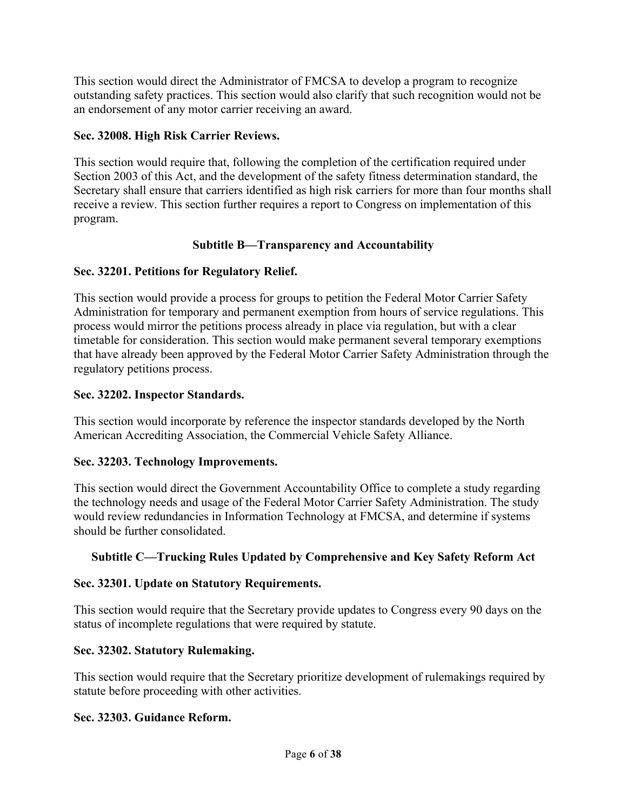This section would direct the Administrator of FMCSA to develop a program to recognize outstanding safety practices. This section would also clarify that such recognition would not be an endorsement of any motor carrier receiving an award.

## **Sec. 32008. High Risk Carrier Reviews.**

This section would require that, following the completion of the certification required under Section 2003 of this Act, and the development of the safety fitness determination standard, the Secretary shall ensure that carriers identified as high risk carriers for more than four months shall receive a review. This section further requires a report to Congress on implementation of this program.

# **Subtitle B—Transparency and Accountability**

### **Sec. 32201. Petitions for Regulatory Relief.**

This section would provide a process for groups to petition the Federal Motor Carrier Safety Administration for temporary and permanent exemption from hours of service regulations. This process would mirror the petitions process already in place via regulation, but with a clear timetable for consideration. This section would make permanent several temporary exemptions that have already been approved by the Federal Motor Carrier Safety Administration through the regulatory petitions process.

### **Sec. 32202. Inspector Standards.**

This section would incorporate by reference the inspector standards developed by the North American Accrediting Association, the Commercial Vehicle Safety Alliance.

#### **Sec. 32203. Technology Improvements.**

This section would direct the Government Accountability Office to complete a study regarding the technology needs and usage of the Federal Motor Carrier Safety Administration. The study would review redundancies in Information Technology at FMCSA, and determine if systems should be further consolidated.

# **Subtitle C—Trucking Rules Updated by Comprehensive and Key Safety Reform Act**

#### **Sec. 32301. Update on Statutory Requirements.**

This section would require that the Secretary provide updates to Congress every 90 days on the status of incomplete regulations that were required by statute.

#### **Sec. 32302. Statutory Rulemaking.**

This section would require that the Secretary prioritize development of rulemakings required by statute before proceeding with other activities.

#### **Sec. 32303. Guidance Reform.**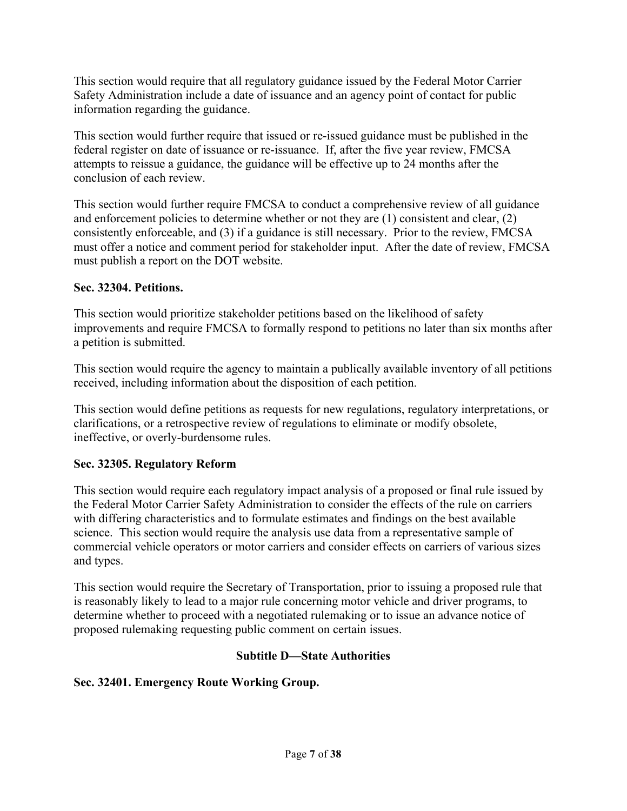This section would require that all regulatory guidance issued by the Federal Motor Carrier Safety Administration include a date of issuance and an agency point of contact for public information regarding the guidance.

This section would further require that issued or re-issued guidance must be published in the federal register on date of issuance or re-issuance. If, after the five year review, FMCSA attempts to reissue a guidance, the guidance will be effective up to 24 months after the conclusion of each review.

This section would further require FMCSA to conduct a comprehensive review of all guidance and enforcement policies to determine whether or not they are (1) consistent and clear, (2) consistently enforceable, and (3) if a guidance is still necessary. Prior to the review, FMCSA must offer a notice and comment period for stakeholder input. After the date of review, FMCSA must publish a report on the DOT website.

# **Sec. 32304. Petitions.**

This section would prioritize stakeholder petitions based on the likelihood of safety improvements and require FMCSA to formally respond to petitions no later than six months after a petition is submitted.

This section would require the agency to maintain a publically available inventory of all petitions received, including information about the disposition of each petition.

This section would define petitions as requests for new regulations, regulatory interpretations, or clarifications, or a retrospective review of regulations to eliminate or modify obsolete, ineffective, or overly-burdensome rules.

# **Sec. 32305. Regulatory Reform**

This section would require each regulatory impact analysis of a proposed or final rule issued by the Federal Motor Carrier Safety Administration to consider the effects of the rule on carriers with differing characteristics and to formulate estimates and findings on the best available science. This section would require the analysis use data from a representative sample of commercial vehicle operators or motor carriers and consider effects on carriers of various sizes and types.

This section would require the Secretary of Transportation, prior to issuing a proposed rule that is reasonably likely to lead to a major rule concerning motor vehicle and driver programs, to determine whether to proceed with a negotiated rulemaking or to issue an advance notice of proposed rulemaking requesting public comment on certain issues.

# **Subtitle D—State Authorities**

# **Sec. 32401. Emergency Route Working Group.**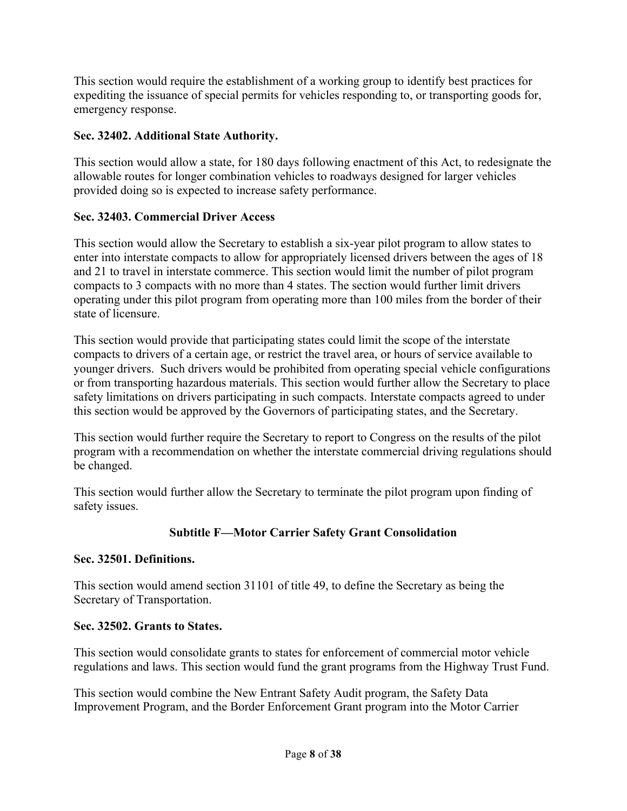This section would require the establishment of a working group to identify best practices for expediting the issuance of special permits for vehicles responding to, or transporting goods for, emergency response.

# **Sec. 32402. Additional State Authority.**

This section would allow a state, for 180 days following enactment of this Act, to redesignate the allowable routes for longer combination vehicles to roadways designed for larger vehicles provided doing so is expected to increase safety performance.

# **Sec. 32403. Commercial Driver Access**

This section would allow the Secretary to establish a six-year pilot program to allow states to enter into interstate compacts to allow for appropriately licensed drivers between the ages of 18 and 21 to travel in interstate commerce. This section would limit the number of pilot program compacts to 3 compacts with no more than 4 states. The section would further limit drivers operating under this pilot program from operating more than 100 miles from the border of their state of licensure.

This section would provide that participating states could limit the scope of the interstate compacts to drivers of a certain age, or restrict the travel area, or hours of service available to younger drivers. Such drivers would be prohibited from operating special vehicle configurations or from transporting hazardous materials. This section would further allow the Secretary to place safety limitations on drivers participating in such compacts. Interstate compacts agreed to under this section would be approved by the Governors of participating states, and the Secretary.

This section would further require the Secretary to report to Congress on the results of the pilot program with a recommendation on whether the interstate commercial driving regulations should be changed.

This section would further allow the Secretary to terminate the pilot program upon finding of safety issues.

# **Subtitle F—Motor Carrier Safety Grant Consolidation**

# **Sec. 32501. Definitions.**

This section would amend section 31101 of title 49, to define the Secretary as being the Secretary of Transportation.

# **Sec. 32502. Grants to States.**

This section would consolidate grants to states for enforcement of commercial motor vehicle regulations and laws. This section would fund the grant programs from the Highway Trust Fund.

This section would combine the New Entrant Safety Audit program, the Safety Data Improvement Program, and the Border Enforcement Grant program into the Motor Carrier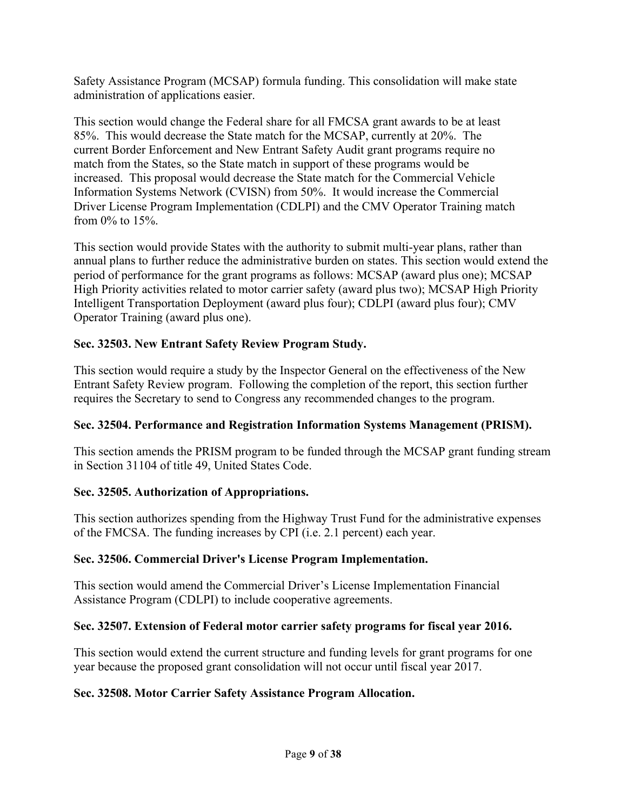Safety Assistance Program (MCSAP) formula funding. This consolidation will make state administration of applications easier.

This section would change the Federal share for all FMCSA grant awards to be at least 85%. This would decrease the State match for the MCSAP, currently at 20%. The current Border Enforcement and New Entrant Safety Audit grant programs require no match from the States, so the State match in support of these programs would be increased. This proposal would decrease the State match for the Commercial Vehicle Information Systems Network (CVISN) from 50%. It would increase the Commercial Driver License Program Implementation (CDLPI) and the CMV Operator Training match from 0% to 15%.

This section would provide States with the authority to submit multi-year plans, rather than annual plans to further reduce the administrative burden on states. This section would extend the period of performance for the grant programs as follows: MCSAP (award plus one); MCSAP High Priority activities related to motor carrier safety (award plus two); MCSAP High Priority Intelligent Transportation Deployment (award plus four); CDLPI (award plus four); CMV Operator Training (award plus one).

# **Sec. 32503. New Entrant Safety Review Program Study.**

This section would require a study by the Inspector General on the effectiveness of the New Entrant Safety Review program. Following the completion of the report, this section further requires the Secretary to send to Congress any recommended changes to the program.

# **Sec. 32504. Performance and Registration Information Systems Management (PRISM).**

This section amends the PRISM program to be funded through the MCSAP grant funding stream in Section 31104 of title 49, United States Code.

# **Sec. 32505. Authorization of Appropriations.**

This section authorizes spending from the Highway Trust Fund for the administrative expenses of the FMCSA. The funding increases by CPI (i.e. 2.1 percent) each year.

# **Sec. 32506. Commercial Driver's License Program Implementation.**

This section would amend the Commercial Driver's License Implementation Financial Assistance Program (CDLPI) to include cooperative agreements.

# **Sec. 32507. Extension of Federal motor carrier safety programs for fiscal year 2016.**

This section would extend the current structure and funding levels for grant programs for one year because the proposed grant consolidation will not occur until fiscal year 2017.

# **Sec. 32508. Motor Carrier Safety Assistance Program Allocation.**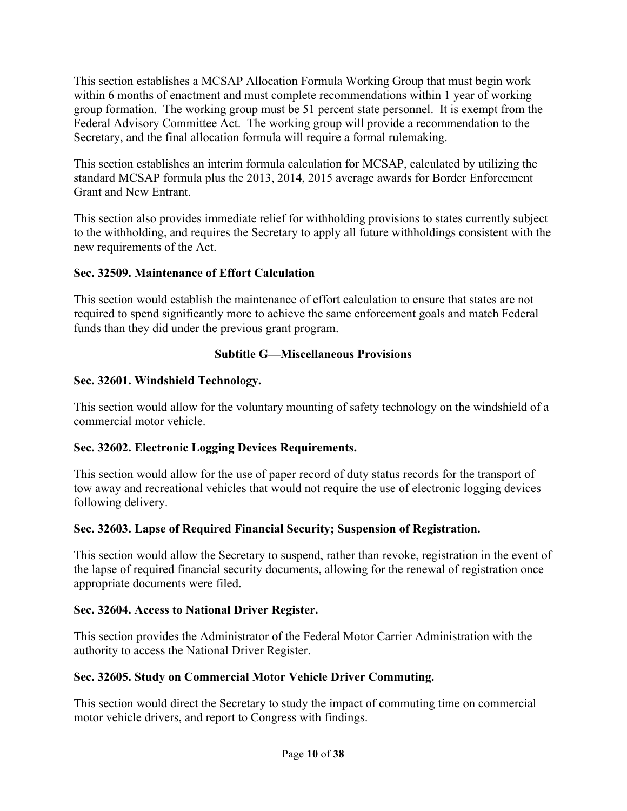This section establishes a MCSAP Allocation Formula Working Group that must begin work within 6 months of enactment and must complete recommendations within 1 year of working group formation. The working group must be 51 percent state personnel. It is exempt from the Federal Advisory Committee Act. The working group will provide a recommendation to the Secretary, and the final allocation formula will require a formal rulemaking.

This section establishes an interim formula calculation for MCSAP, calculated by utilizing the standard MCSAP formula plus the 2013, 2014, 2015 average awards for Border Enforcement Grant and New Entrant.

This section also provides immediate relief for withholding provisions to states currently subject to the withholding, and requires the Secretary to apply all future withholdings consistent with the new requirements of the Act.

### **Sec. 32509. Maintenance of Effort Calculation**

This section would establish the maintenance of effort calculation to ensure that states are not required to spend significantly more to achieve the same enforcement goals and match Federal funds than they did under the previous grant program.

### **Subtitle G—Miscellaneous Provisions**

#### **Sec. 32601. Windshield Technology.**

This section would allow for the voluntary mounting of safety technology on the windshield of a commercial motor vehicle.

# **Sec. 32602. Electronic Logging Devices Requirements.**

This section would allow for the use of paper record of duty status records for the transport of tow away and recreational vehicles that would not require the use of electronic logging devices following delivery.

# **Sec. 32603. Lapse of Required Financial Security; Suspension of Registration.**

This section would allow the Secretary to suspend, rather than revoke, registration in the event of the lapse of required financial security documents, allowing for the renewal of registration once appropriate documents were filed.

#### **Sec. 32604. Access to National Driver Register.**

This section provides the Administrator of the Federal Motor Carrier Administration with the authority to access the National Driver Register.

#### **Sec. 32605. Study on Commercial Motor Vehicle Driver Commuting.**

This section would direct the Secretary to study the impact of commuting time on commercial motor vehicle drivers, and report to Congress with findings.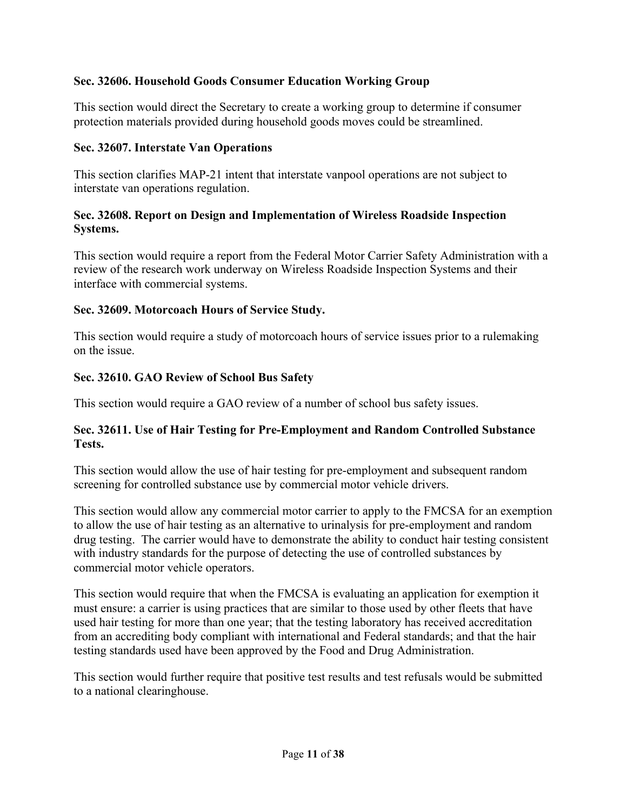# **Sec. 32606. Household Goods Consumer Education Working Group**

This section would direct the Secretary to create a working group to determine if consumer protection materials provided during household goods moves could be streamlined.

#### **Sec. 32607. Interstate Van Operations**

This section clarifies MAP-21 intent that interstate vanpool operations are not subject to interstate van operations regulation.

#### **Sec. 32608. Report on Design and Implementation of Wireless Roadside Inspection Systems.**

This section would require a report from the Federal Motor Carrier Safety Administration with a review of the research work underway on Wireless Roadside Inspection Systems and their interface with commercial systems.

#### **Sec. 32609. Motorcoach Hours of Service Study.**

This section would require a study of motorcoach hours of service issues prior to a rulemaking on the issue.

#### **Sec. 32610. GAO Review of School Bus Safety**

This section would require a GAO review of a number of school bus safety issues.

#### **Sec. 32611. Use of Hair Testing for Pre-Employment and Random Controlled Substance Tests.**

This section would allow the use of hair testing for pre-employment and subsequent random screening for controlled substance use by commercial motor vehicle drivers.

This section would allow any commercial motor carrier to apply to the FMCSA for an exemption to allow the use of hair testing as an alternative to urinalysis for pre-employment and random drug testing. The carrier would have to demonstrate the ability to conduct hair testing consistent with industry standards for the purpose of detecting the use of controlled substances by commercial motor vehicle operators.

This section would require that when the FMCSA is evaluating an application for exemption it must ensure: a carrier is using practices that are similar to those used by other fleets that have used hair testing for more than one year; that the testing laboratory has received accreditation from an accrediting body compliant with international and Federal standards; and that the hair testing standards used have been approved by the Food and Drug Administration.

This section would further require that positive test results and test refusals would be submitted to a national clearinghouse.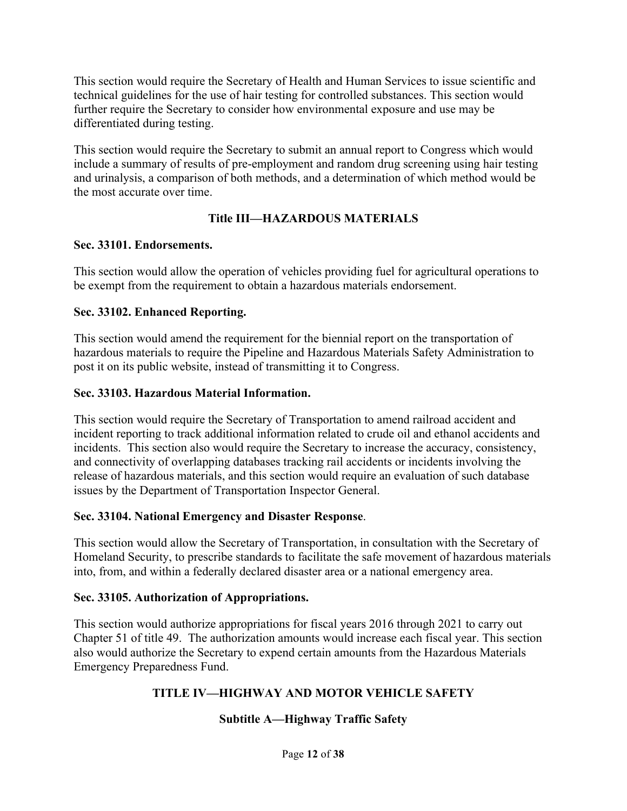This section would require the Secretary of Health and Human Services to issue scientific and technical guidelines for the use of hair testing for controlled substances. This section would further require the Secretary to consider how environmental exposure and use may be differentiated during testing.

This section would require the Secretary to submit an annual report to Congress which would include a summary of results of pre-employment and random drug screening using hair testing and urinalysis, a comparison of both methods, and a determination of which method would be the most accurate over time.

# **Title III—HAZARDOUS MATERIALS**

### **Sec. 33101. Endorsements.**

This section would allow the operation of vehicles providing fuel for agricultural operations to be exempt from the requirement to obtain a hazardous materials endorsement.

# **Sec. 33102. Enhanced Reporting.**

This section would amend the requirement for the biennial report on the transportation of hazardous materials to require the Pipeline and Hazardous Materials Safety Administration to post it on its public website, instead of transmitting it to Congress.

# **Sec. 33103. Hazardous Material Information.**

This section would require the Secretary of Transportation to amend railroad accident and incident reporting to track additional information related to crude oil and ethanol accidents and incidents. This section also would require the Secretary to increase the accuracy, consistency, and connectivity of overlapping databases tracking rail accidents or incidents involving the release of hazardous materials, and this section would require an evaluation of such database issues by the Department of Transportation Inspector General.

# **Sec. 33104. National Emergency and Disaster Response**.

This section would allow the Secretary of Transportation, in consultation with the Secretary of Homeland Security, to prescribe standards to facilitate the safe movement of hazardous materials into, from, and within a federally declared disaster area or a national emergency area.

# **Sec. 33105. Authorization of Appropriations.**

This section would authorize appropriations for fiscal years 2016 through 2021 to carry out Chapter 51 of title 49. The authorization amounts would increase each fiscal year. This section also would authorize the Secretary to expend certain amounts from the Hazardous Materials Emergency Preparedness Fund.

# **TITLE IV—HIGHWAY AND MOTOR VEHICLE SAFETY**

# **Subtitle A—Highway Traffic Safety**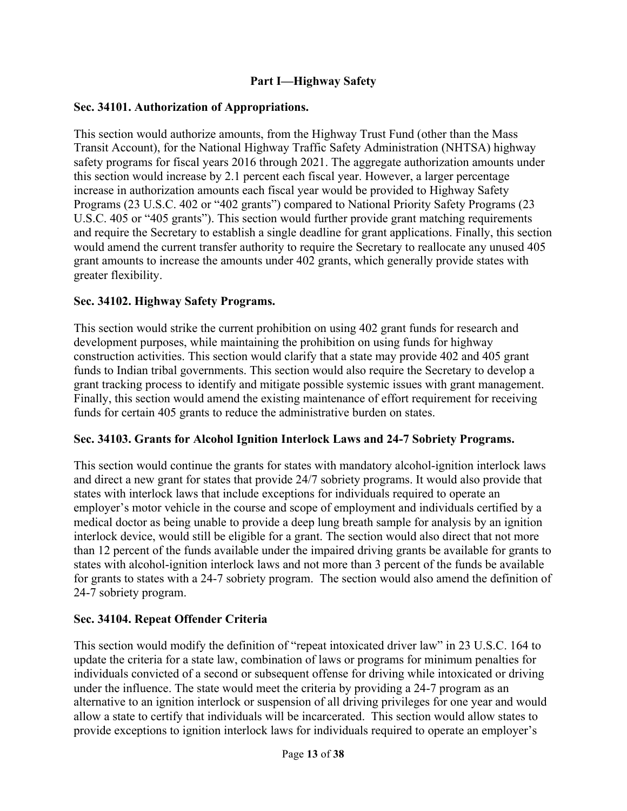## **Part I—Highway Safety**

### **Sec. 34101. Authorization of Appropriations.**

This section would authorize amounts, from the Highway Trust Fund (other than the Mass Transit Account), for the National Highway Traffic Safety Administration (NHTSA) highway safety programs for fiscal years 2016 through 2021. The aggregate authorization amounts under this section would increase by 2.1 percent each fiscal year. However, a larger percentage increase in authorization amounts each fiscal year would be provided to Highway Safety Programs (23 U.S.C. 402 or "402 grants") compared to National Priority Safety Programs (23 U.S.C. 405 or "405 grants"). This section would further provide grant matching requirements and require the Secretary to establish a single deadline for grant applications. Finally, this section would amend the current transfer authority to require the Secretary to reallocate any unused 405 grant amounts to increase the amounts under 402 grants, which generally provide states with greater flexibility.

### **Sec. 34102. Highway Safety Programs.**

This section would strike the current prohibition on using 402 grant funds for research and development purposes, while maintaining the prohibition on using funds for highway construction activities. This section would clarify that a state may provide 402 and 405 grant funds to Indian tribal governments. This section would also require the Secretary to develop a grant tracking process to identify and mitigate possible systemic issues with grant management. Finally, this section would amend the existing maintenance of effort requirement for receiving funds for certain 405 grants to reduce the administrative burden on states.

#### **Sec. 34103. Grants for Alcohol Ignition Interlock Laws and 24-7 Sobriety Programs.**

This section would continue the grants for states with mandatory alcohol-ignition interlock laws and direct a new grant for states that provide 24/7 sobriety programs. It would also provide that states with interlock laws that include exceptions for individuals required to operate an employer's motor vehicle in the course and scope of employment and individuals certified by a medical doctor as being unable to provide a deep lung breath sample for analysis by an ignition interlock device, would still be eligible for a grant. The section would also direct that not more than 12 percent of the funds available under the impaired driving grants be available for grants to states with alcohol-ignition interlock laws and not more than 3 percent of the funds be available for grants to states with a 24-7 sobriety program. The section would also amend the definition of 24-7 sobriety program.

# **Sec. 34104. Repeat Offender Criteria**

This section would modify the definition of "repeat intoxicated driver law" in 23 U.S.C. 164 to update the criteria for a state law, combination of laws or programs for minimum penalties for individuals convicted of a second or subsequent offense for driving while intoxicated or driving under the influence. The state would meet the criteria by providing a 24-7 program as an alternative to an ignition interlock or suspension of all driving privileges for one year and would allow a state to certify that individuals will be incarcerated. This section would allow states to provide exceptions to ignition interlock laws for individuals required to operate an employer's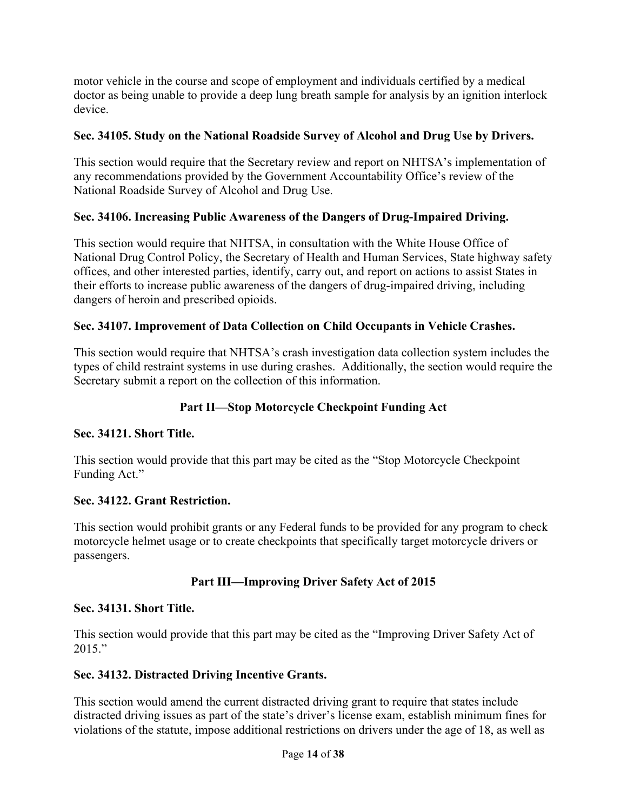motor vehicle in the course and scope of employment and individuals certified by a medical doctor as being unable to provide a deep lung breath sample for analysis by an ignition interlock device.

## **Sec. 34105. Study on the National Roadside Survey of Alcohol and Drug Use by Drivers.**

This section would require that the Secretary review and report on NHTSA's implementation of any recommendations provided by the Government Accountability Office's review of the National Roadside Survey of Alcohol and Drug Use.

# **Sec. 34106. Increasing Public Awareness of the Dangers of Drug-Impaired Driving.**

This section would require that NHTSA, in consultation with the White House Office of National Drug Control Policy, the Secretary of Health and Human Services, State highway safety offices, and other interested parties, identify, carry out, and report on actions to assist States in their efforts to increase public awareness of the dangers of drug-impaired driving, including dangers of heroin and prescribed opioids.

### **Sec. 34107. Improvement of Data Collection on Child Occupants in Vehicle Crashes.**

This section would require that NHTSA's crash investigation data collection system includes the types of child restraint systems in use during crashes. Additionally, the section would require the Secretary submit a report on the collection of this information.

## **Part II—Stop Motorcycle Checkpoint Funding Act**

#### **Sec. 34121. Short Title.**

This section would provide that this part may be cited as the "Stop Motorcycle Checkpoint Funding Act."

#### **Sec. 34122. Grant Restriction.**

This section would prohibit grants or any Federal funds to be provided for any program to check motorcycle helmet usage or to create checkpoints that specifically target motorcycle drivers or passengers.

# **Part III—Improving Driver Safety Act of 2015**

#### **Sec. 34131. Short Title.**

This section would provide that this part may be cited as the "Improving Driver Safety Act of  $2015."$ 

#### **Sec. 34132. Distracted Driving Incentive Grants.**

This section would amend the current distracted driving grant to require that states include distracted driving issues as part of the state's driver's license exam, establish minimum fines for violations of the statute, impose additional restrictions on drivers under the age of 18, as well as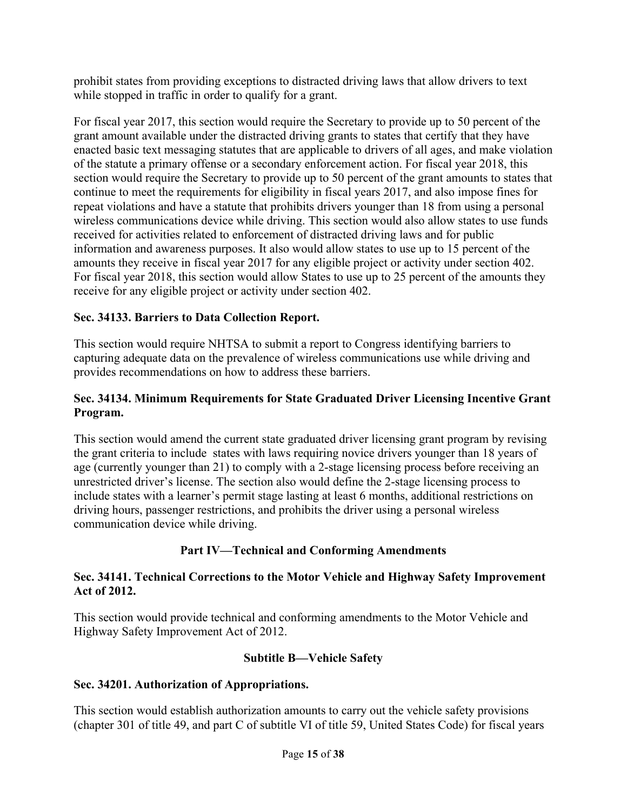prohibit states from providing exceptions to distracted driving laws that allow drivers to text while stopped in traffic in order to qualify for a grant.

For fiscal year 2017, this section would require the Secretary to provide up to 50 percent of the grant amount available under the distracted driving grants to states that certify that they have enacted basic text messaging statutes that are applicable to drivers of all ages, and make violation of the statute a primary offense or a secondary enforcement action. For fiscal year 2018, this section would require the Secretary to provide up to 50 percent of the grant amounts to states that continue to meet the requirements for eligibility in fiscal years 2017, and also impose fines for repeat violations and have a statute that prohibits drivers younger than 18 from using a personal wireless communications device while driving. This section would also allow states to use funds received for activities related to enforcement of distracted driving laws and for public information and awareness purposes. It also would allow states to use up to 15 percent of the amounts they receive in fiscal year 2017 for any eligible project or activity under section 402. For fiscal year 2018, this section would allow States to use up to 25 percent of the amounts they receive for any eligible project or activity under section 402.

# **Sec. 34133. Barriers to Data Collection Report.**

This section would require NHTSA to submit a report to Congress identifying barriers to capturing adequate data on the prevalence of wireless communications use while driving and provides recommendations on how to address these barriers.

# **Sec. 34134. Minimum Requirements for State Graduated Driver Licensing Incentive Grant Program.**

This section would amend the current state graduated driver licensing grant program by revising the grant criteria to include states with laws requiring novice drivers younger than 18 years of age (currently younger than 21) to comply with a 2-stage licensing process before receiving an unrestricted driver's license. The section also would define the 2-stage licensing process to include states with a learner's permit stage lasting at least 6 months, additional restrictions on driving hours, passenger restrictions, and prohibits the driver using a personal wireless communication device while driving.

# **Part IV—Technical and Conforming Amendments**

### **Sec. 34141. Technical Corrections to the Motor Vehicle and Highway Safety Improvement Act of 2012.**

This section would provide technical and conforming amendments to the Motor Vehicle and Highway Safety Improvement Act of 2012.

# **Subtitle B—Vehicle Safety**

# **Sec. 34201. Authorization of Appropriations.**

This section would establish authorization amounts to carry out the vehicle safety provisions (chapter 301 of title 49, and part C of subtitle VI of title 59, United States Code) for fiscal years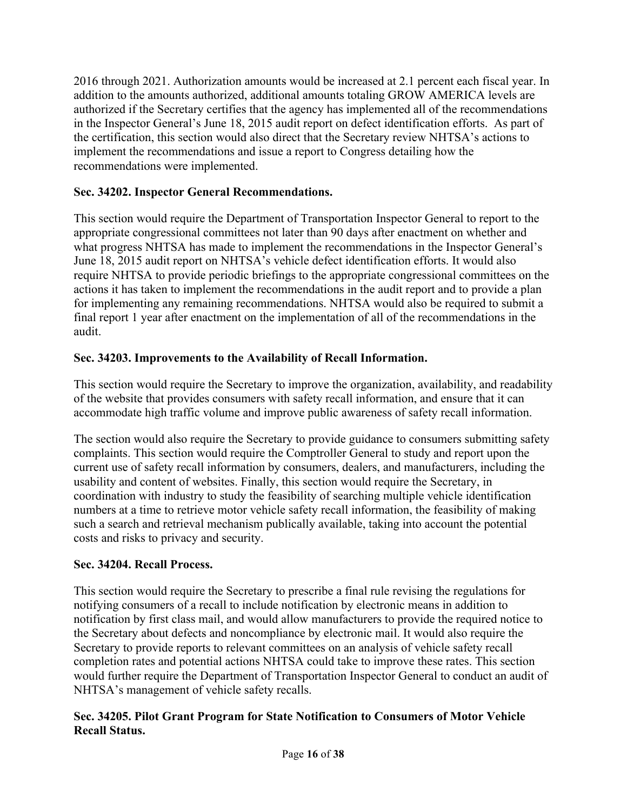2016 through 2021. Authorization amounts would be increased at 2.1 percent each fiscal year. In addition to the amounts authorized, additional amounts totaling GROW AMERICA levels are authorized if the Secretary certifies that the agency has implemented all of the recommendations in the Inspector General's June 18, 2015 audit report on defect identification efforts. As part of the certification, this section would also direct that the Secretary review NHTSA's actions to implement the recommendations and issue a report to Congress detailing how the recommendations were implemented.

# **Sec. 34202. Inspector General Recommendations.**

This section would require the Department of Transportation Inspector General to report to the appropriate congressional committees not later than 90 days after enactment on whether and what progress NHTSA has made to implement the recommendations in the Inspector General's June 18, 2015 audit report on NHTSA's vehicle defect identification efforts. It would also require NHTSA to provide periodic briefings to the appropriate congressional committees on the actions it has taken to implement the recommendations in the audit report and to provide a plan for implementing any remaining recommendations. NHTSA would also be required to submit a final report 1 year after enactment on the implementation of all of the recommendations in the audit.

# **Sec. 34203. Improvements to the Availability of Recall Information.**

This section would require the Secretary to improve the organization, availability, and readability of the website that provides consumers with safety recall information, and ensure that it can accommodate high traffic volume and improve public awareness of safety recall information.

The section would also require the Secretary to provide guidance to consumers submitting safety complaints. This section would require the Comptroller General to study and report upon the current use of safety recall information by consumers, dealers, and manufacturers, including the usability and content of websites. Finally, this section would require the Secretary, in coordination with industry to study the feasibility of searching multiple vehicle identification numbers at a time to retrieve motor vehicle safety recall information, the feasibility of making such a search and retrieval mechanism publically available, taking into account the potential costs and risks to privacy and security.

# **Sec. 34204. Recall Process.**

This section would require the Secretary to prescribe a final rule revising the regulations for notifying consumers of a recall to include notification by electronic means in addition to notification by first class mail, and would allow manufacturers to provide the required notice to the Secretary about defects and noncompliance by electronic mail. It would also require the Secretary to provide reports to relevant committees on an analysis of vehicle safety recall completion rates and potential actions NHTSA could take to improve these rates. This section would further require the Department of Transportation Inspector General to conduct an audit of NHTSA's management of vehicle safety recalls.

# **Sec. 34205. Pilot Grant Program for State Notification to Consumers of Motor Vehicle Recall Status.**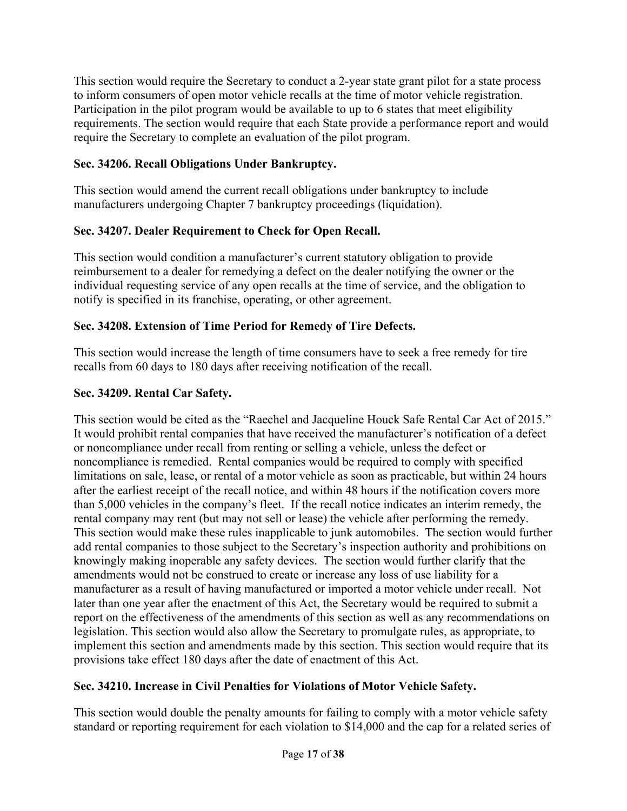This section would require the Secretary to conduct a 2-year state grant pilot for a state process to inform consumers of open motor vehicle recalls at the time of motor vehicle registration. Participation in the pilot program would be available to up to 6 states that meet eligibility requirements. The section would require that each State provide a performance report and would require the Secretary to complete an evaluation of the pilot program.

# **Sec. 34206. Recall Obligations Under Bankruptcy.**

This section would amend the current recall obligations under bankruptcy to include manufacturers undergoing Chapter 7 bankruptcy proceedings (liquidation).

# **Sec. 34207. Dealer Requirement to Check for Open Recall.**

This section would condition a manufacturer's current statutory obligation to provide reimbursement to a dealer for remedying a defect on the dealer notifying the owner or the individual requesting service of any open recalls at the time of service, and the obligation to notify is specified in its franchise, operating, or other agreement.

# **Sec. 34208. Extension of Time Period for Remedy of Tire Defects.**

This section would increase the length of time consumers have to seek a free remedy for tire recalls from 60 days to 180 days after receiving notification of the recall.

# **Sec. 34209. Rental Car Safety.**

This section would be cited as the "Raechel and Jacqueline Houck Safe Rental Car Act of 2015." It would prohibit rental companies that have received the manufacturer's notification of a defect or noncompliance under recall from renting or selling a vehicle, unless the defect or noncompliance is remedied. Rental companies would be required to comply with specified limitations on sale, lease, or rental of a motor vehicle as soon as practicable, but within 24 hours after the earliest receipt of the recall notice, and within 48 hours if the notification covers more than 5,000 vehicles in the company's fleet. If the recall notice indicates an interim remedy, the rental company may rent (but may not sell or lease) the vehicle after performing the remedy. This section would make these rules inapplicable to junk automobiles. The section would further add rental companies to those subject to the Secretary's inspection authority and prohibitions on knowingly making inoperable any safety devices. The section would further clarify that the amendments would not be construed to create or increase any loss of use liability for a manufacturer as a result of having manufactured or imported a motor vehicle under recall. Not later than one year after the enactment of this Act, the Secretary would be required to submit a report on the effectiveness of the amendments of this section as well as any recommendations on legislation. This section would also allow the Secretary to promulgate rules, as appropriate, to implement this section and amendments made by this section. This section would require that its provisions take effect 180 days after the date of enactment of this Act.

# **Sec. 34210. Increase in Civil Penalties for Violations of Motor Vehicle Safety.**

This section would double the penalty amounts for failing to comply with a motor vehicle safety standard or reporting requirement for each violation to \$14,000 and the cap for a related series of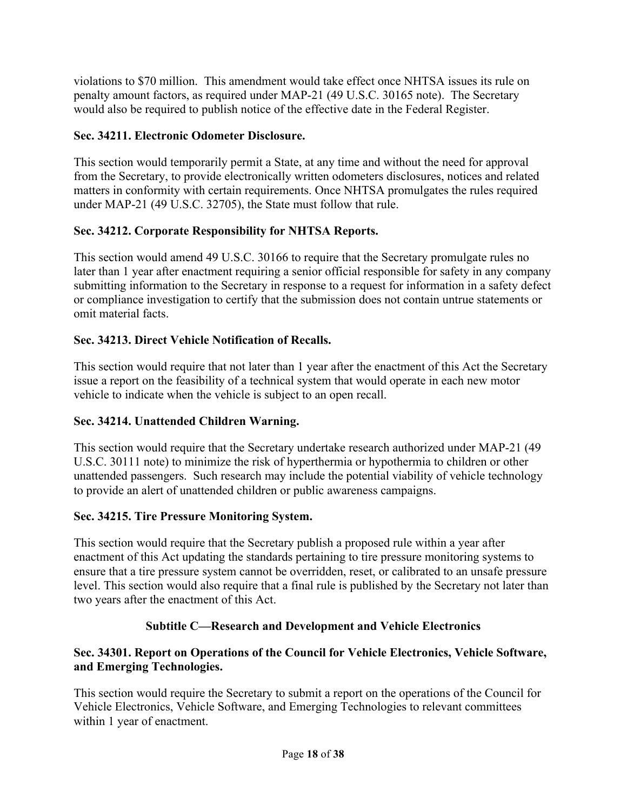violations to \$70 million. This amendment would take effect once NHTSA issues its rule on penalty amount factors, as required under MAP-21 (49 U.S.C. 30165 note). The Secretary would also be required to publish notice of the effective date in the Federal Register.

# **Sec. 34211. Electronic Odometer Disclosure.**

This section would temporarily permit a State, at any time and without the need for approval from the Secretary, to provide electronically written odometers disclosures, notices and related matters in conformity with certain requirements. Once NHTSA promulgates the rules required under MAP-21 (49 U.S.C. 32705), the State must follow that rule.

# **Sec. 34212. Corporate Responsibility for NHTSA Reports.**

This section would amend 49 U.S.C. 30166 to require that the Secretary promulgate rules no later than 1 year after enactment requiring a senior official responsible for safety in any company submitting information to the Secretary in response to a request for information in a safety defect or compliance investigation to certify that the submission does not contain untrue statements or omit material facts.

# **Sec. 34213. Direct Vehicle Notification of Recalls.**

This section would require that not later than 1 year after the enactment of this Act the Secretary issue a report on the feasibility of a technical system that would operate in each new motor vehicle to indicate when the vehicle is subject to an open recall.

# **Sec. 34214. Unattended Children Warning.**

This section would require that the Secretary undertake research authorized under MAP-21 (49 U.S.C. 30111 note) to minimize the risk of hyperthermia or hypothermia to children or other unattended passengers. Such research may include the potential viability of vehicle technology to provide an alert of unattended children or public awareness campaigns.

# **Sec. 34215. Tire Pressure Monitoring System.**

This section would require that the Secretary publish a proposed rule within a year after enactment of this Act updating the standards pertaining to tire pressure monitoring systems to ensure that a tire pressure system cannot be overridden, reset, or calibrated to an unsafe pressure level. This section would also require that a final rule is published by the Secretary not later than two years after the enactment of this Act.

# **Subtitle C—Research and Development and Vehicle Electronics**

# **Sec. 34301. Report on Operations of the Council for Vehicle Electronics, Vehicle Software, and Emerging Technologies.**

This section would require the Secretary to submit a report on the operations of the Council for Vehicle Electronics, Vehicle Software, and Emerging Technologies to relevant committees within 1 year of enactment.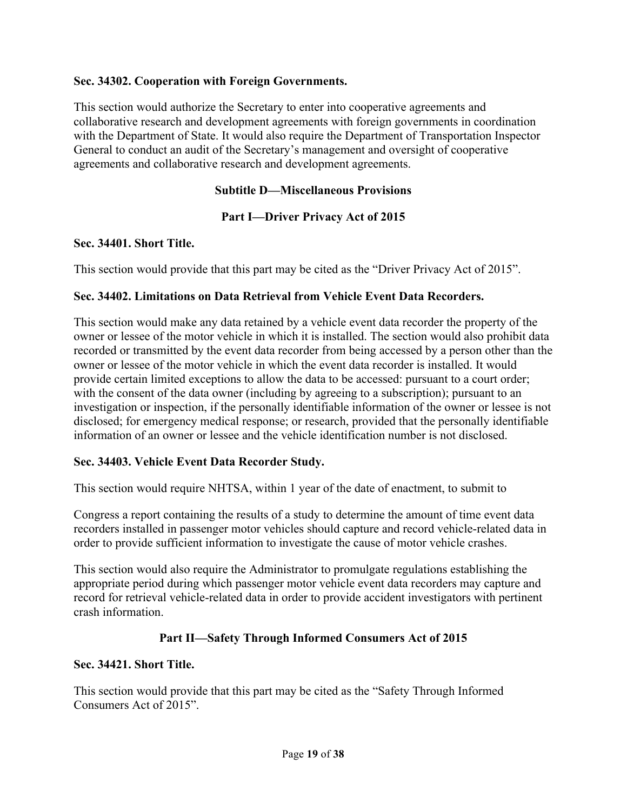### **Sec. 34302. Cooperation with Foreign Governments.**

This section would authorize the Secretary to enter into cooperative agreements and collaborative research and development agreements with foreign governments in coordination with the Department of State. It would also require the Department of Transportation Inspector General to conduct an audit of the Secretary's management and oversight of cooperative agreements and collaborative research and development agreements.

### **Subtitle D—Miscellaneous Provisions**

### **Part I—Driver Privacy Act of 2015**

#### **Sec. 34401. Short Title.**

This section would provide that this part may be cited as the "Driver Privacy Act of 2015".

### **Sec. 34402. Limitations on Data Retrieval from Vehicle Event Data Recorders.**

This section would make any data retained by a vehicle event data recorder the property of the owner or lessee of the motor vehicle in which it is installed. The section would also prohibit data recorded or transmitted by the event data recorder from being accessed by a person other than the owner or lessee of the motor vehicle in which the event data recorder is installed. It would provide certain limited exceptions to allow the data to be accessed: pursuant to a court order; with the consent of the data owner (including by agreeing to a subscription); pursuant to an investigation or inspection, if the personally identifiable information of the owner or lessee is not disclosed; for emergency medical response; or research, provided that the personally identifiable information of an owner or lessee and the vehicle identification number is not disclosed.

#### **Sec. 34403. Vehicle Event Data Recorder Study.**

This section would require NHTSA, within 1 year of the date of enactment, to submit to

Congress a report containing the results of a study to determine the amount of time event data recorders installed in passenger motor vehicles should capture and record vehicle-related data in order to provide sufficient information to investigate the cause of motor vehicle crashes.

This section would also require the Administrator to promulgate regulations establishing the appropriate period during which passenger motor vehicle event data recorders may capture and record for retrieval vehicle-related data in order to provide accident investigators with pertinent crash information.

# **Part II—Safety Through Informed Consumers Act of 2015**

#### **Sec. 34421. Short Title.**

This section would provide that this part may be cited as the "Safety Through Informed Consumers Act of 2015".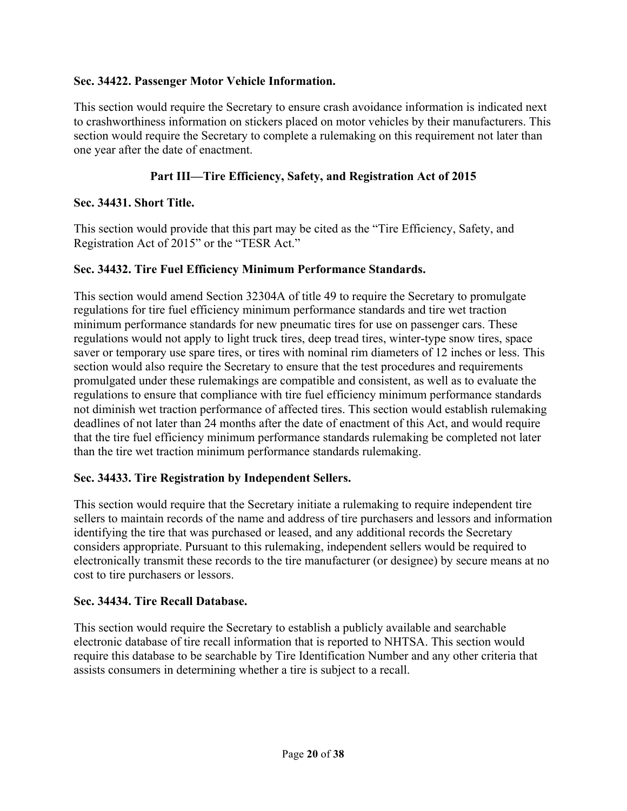### **Sec. 34422. Passenger Motor Vehicle Information.**

This section would require the Secretary to ensure crash avoidance information is indicated next to crashworthiness information on stickers placed on motor vehicles by their manufacturers. This section would require the Secretary to complete a rulemaking on this requirement not later than one year after the date of enactment.

## **Part III—Tire Efficiency, Safety, and Registration Act of 2015**

### **Sec. 34431. Short Title.**

This section would provide that this part may be cited as the "Tire Efficiency, Safety, and Registration Act of 2015" or the "TESR Act."

#### **Sec. 34432. Tire Fuel Efficiency Minimum Performance Standards.**

This section would amend Section 32304A of title 49 to require the Secretary to promulgate regulations for tire fuel efficiency minimum performance standards and tire wet traction minimum performance standards for new pneumatic tires for use on passenger cars. These regulations would not apply to light truck tires, deep tread tires, winter-type snow tires, space saver or temporary use spare tires, or tires with nominal rim diameters of 12 inches or less. This section would also require the Secretary to ensure that the test procedures and requirements promulgated under these rulemakings are compatible and consistent, as well as to evaluate the regulations to ensure that compliance with tire fuel efficiency minimum performance standards not diminish wet traction performance of affected tires. This section would establish rulemaking deadlines of not later than 24 months after the date of enactment of this Act, and would require that the tire fuel efficiency minimum performance standards rulemaking be completed not later than the tire wet traction minimum performance standards rulemaking.

# **Sec. 34433. Tire Registration by Independent Sellers.**

This section would require that the Secretary initiate a rulemaking to require independent tire sellers to maintain records of the name and address of tire purchasers and lessors and information identifying the tire that was purchased or leased, and any additional records the Secretary considers appropriate. Pursuant to this rulemaking, independent sellers would be required to electronically transmit these records to the tire manufacturer (or designee) by secure means at no cost to tire purchasers or lessors.

#### **Sec. 34434. Tire Recall Database.**

This section would require the Secretary to establish a publicly available and searchable electronic database of tire recall information that is reported to NHTSA. This section would require this database to be searchable by Tire Identification Number and any other criteria that assists consumers in determining whether a tire is subject to a recall.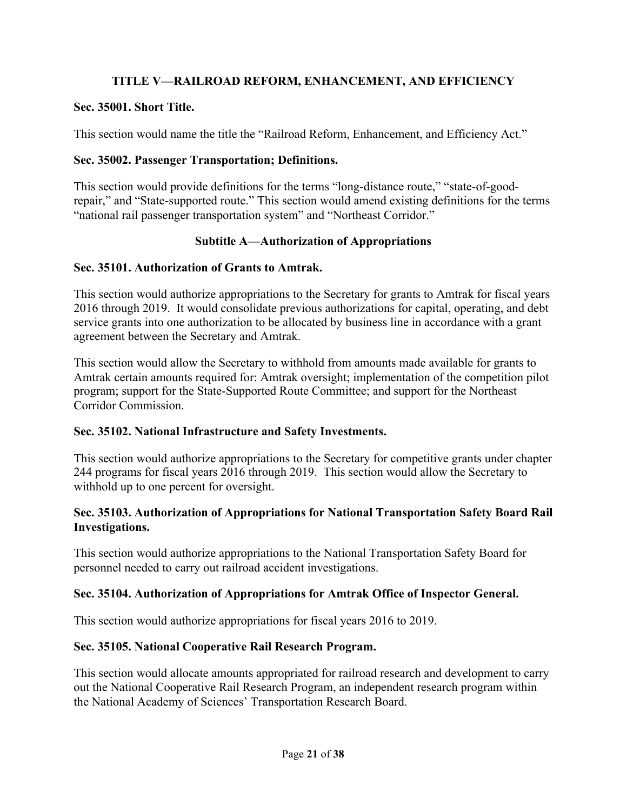# **TITLE V—RAILROAD REFORM, ENHANCEMENT, AND EFFICIENCY**

### **Sec. 35001. Short Title.**

This section would name the title the "Railroad Reform, Enhancement, and Efficiency Act."

## **Sec. 35002. Passenger Transportation; Definitions.**

This section would provide definitions for the terms "long-distance route," "state-of-goodrepair," and "State-supported route." This section would amend existing definitions for the terms "national rail passenger transportation system" and "Northeast Corridor."

### **Subtitle A—Authorization of Appropriations**

### **Sec. 35101. Authorization of Grants to Amtrak.**

This section would authorize appropriations to the Secretary for grants to Amtrak for fiscal years 2016 through 2019. It would consolidate previous authorizations for capital, operating, and debt service grants into one authorization to be allocated by business line in accordance with a grant agreement between the Secretary and Amtrak.

This section would allow the Secretary to withhold from amounts made available for grants to Amtrak certain amounts required for: Amtrak oversight; implementation of the competition pilot program; support for the State-Supported Route Committee; and support for the Northeast Corridor Commission.

# **Sec. 35102. National Infrastructure and Safety Investments.**

This section would authorize appropriations to the Secretary for competitive grants under chapter 244 programs for fiscal years 2016 through 2019. This section would allow the Secretary to withhold up to one percent for oversight.

### **Sec. 35103. Authorization of Appropriations for National Transportation Safety Board Rail Investigations.**

This section would authorize appropriations to the National Transportation Safety Board for personnel needed to carry out railroad accident investigations.

# **Sec. 35104. Authorization of Appropriations for Amtrak Office of Inspector General.**

This section would authorize appropriations for fiscal years 2016 to 2019.

# **Sec. 35105. National Cooperative Rail Research Program.**

This section would allocate amounts appropriated for railroad research and development to carry out the National Cooperative Rail Research Program, an independent research program within the National Academy of Sciences' Transportation Research Board.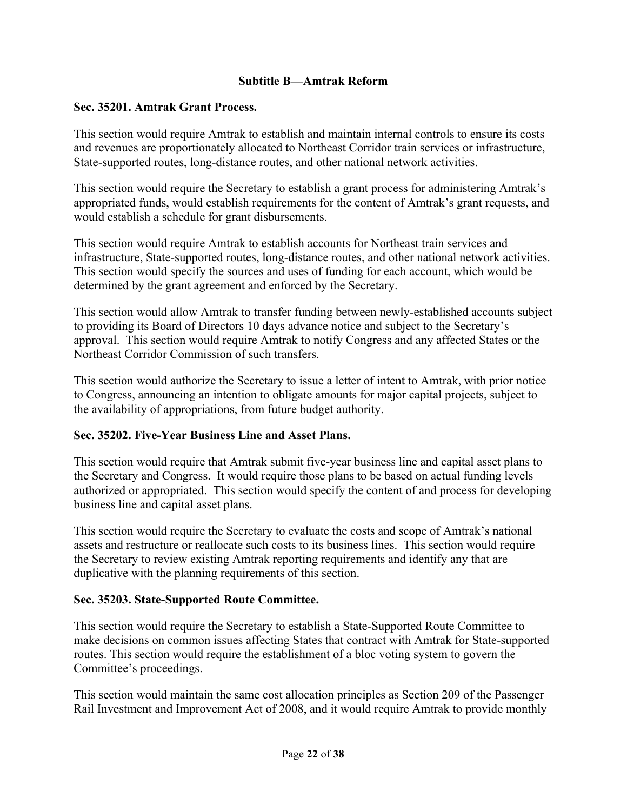### **Subtitle B—Amtrak Reform**

#### **Sec. 35201. Amtrak Grant Process.**

This section would require Amtrak to establish and maintain internal controls to ensure its costs and revenues are proportionately allocated to Northeast Corridor train services or infrastructure, State-supported routes, long-distance routes, and other national network activities.

This section would require the Secretary to establish a grant process for administering Amtrak's appropriated funds, would establish requirements for the content of Amtrak's grant requests, and would establish a schedule for grant disbursements.

This section would require Amtrak to establish accounts for Northeast train services and infrastructure, State-supported routes, long-distance routes, and other national network activities. This section would specify the sources and uses of funding for each account, which would be determined by the grant agreement and enforced by the Secretary.

This section would allow Amtrak to transfer funding between newly-established accounts subject to providing its Board of Directors 10 days advance notice and subject to the Secretary's approval. This section would require Amtrak to notify Congress and any affected States or the Northeast Corridor Commission of such transfers.

This section would authorize the Secretary to issue a letter of intent to Amtrak, with prior notice to Congress, announcing an intention to obligate amounts for major capital projects, subject to the availability of appropriations, from future budget authority.

# **Sec. 35202. Five-Year Business Line and Asset Plans.**

This section would require that Amtrak submit five-year business line and capital asset plans to the Secretary and Congress. It would require those plans to be based on actual funding levels authorized or appropriated. This section would specify the content of and process for developing business line and capital asset plans.

This section would require the Secretary to evaluate the costs and scope of Amtrak's national assets and restructure or reallocate such costs to its business lines. This section would require the Secretary to review existing Amtrak reporting requirements and identify any that are duplicative with the planning requirements of this section.

# **Sec. 35203. State-Supported Route Committee.**

This section would require the Secretary to establish a State-Supported Route Committee to make decisions on common issues affecting States that contract with Amtrak for State-supported routes. This section would require the establishment of a bloc voting system to govern the Committee's proceedings.

This section would maintain the same cost allocation principles as Section 209 of the Passenger Rail Investment and Improvement Act of 2008, and it would require Amtrak to provide monthly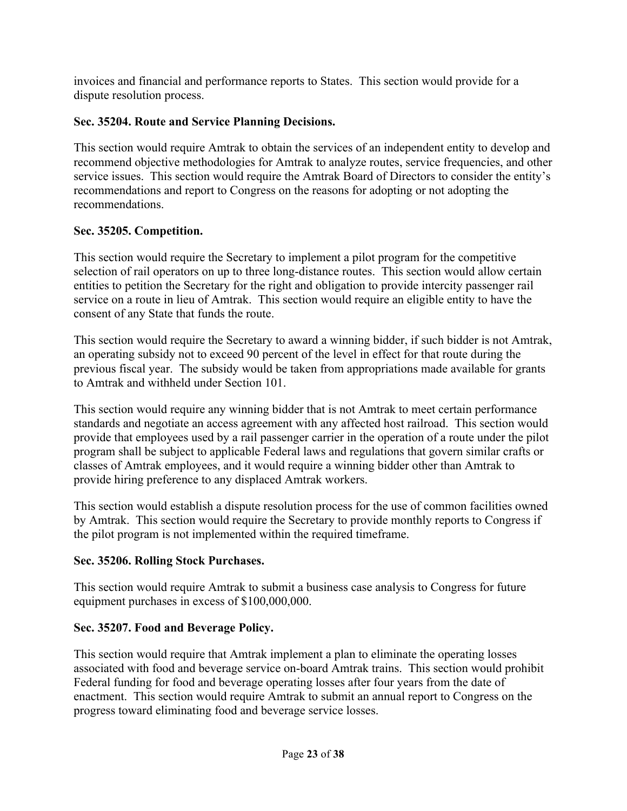invoices and financial and performance reports to States. This section would provide for a dispute resolution process.

# **Sec. 35204. Route and Service Planning Decisions.**

This section would require Amtrak to obtain the services of an independent entity to develop and recommend objective methodologies for Amtrak to analyze routes, service frequencies, and other service issues. This section would require the Amtrak Board of Directors to consider the entity's recommendations and report to Congress on the reasons for adopting or not adopting the recommendations.

# **Sec. 35205. Competition.**

This section would require the Secretary to implement a pilot program for the competitive selection of rail operators on up to three long-distance routes. This section would allow certain entities to petition the Secretary for the right and obligation to provide intercity passenger rail service on a route in lieu of Amtrak. This section would require an eligible entity to have the consent of any State that funds the route.

This section would require the Secretary to award a winning bidder, if such bidder is not Amtrak, an operating subsidy not to exceed 90 percent of the level in effect for that route during the previous fiscal year. The subsidy would be taken from appropriations made available for grants to Amtrak and withheld under Section 101.

This section would require any winning bidder that is not Amtrak to meet certain performance standards and negotiate an access agreement with any affected host railroad. This section would provide that employees used by a rail passenger carrier in the operation of a route under the pilot program shall be subject to applicable Federal laws and regulations that govern similar crafts or classes of Amtrak employees, and it would require a winning bidder other than Amtrak to provide hiring preference to any displaced Amtrak workers.

This section would establish a dispute resolution process for the use of common facilities owned by Amtrak. This section would require the Secretary to provide monthly reports to Congress if the pilot program is not implemented within the required timeframe.

# **Sec. 35206. Rolling Stock Purchases.**

This section would require Amtrak to submit a business case analysis to Congress for future equipment purchases in excess of \$100,000,000.

# **Sec. 35207. Food and Beverage Policy.**

This section would require that Amtrak implement a plan to eliminate the operating losses associated with food and beverage service on-board Amtrak trains. This section would prohibit Federal funding for food and beverage operating losses after four years from the date of enactment. This section would require Amtrak to submit an annual report to Congress on the progress toward eliminating food and beverage service losses.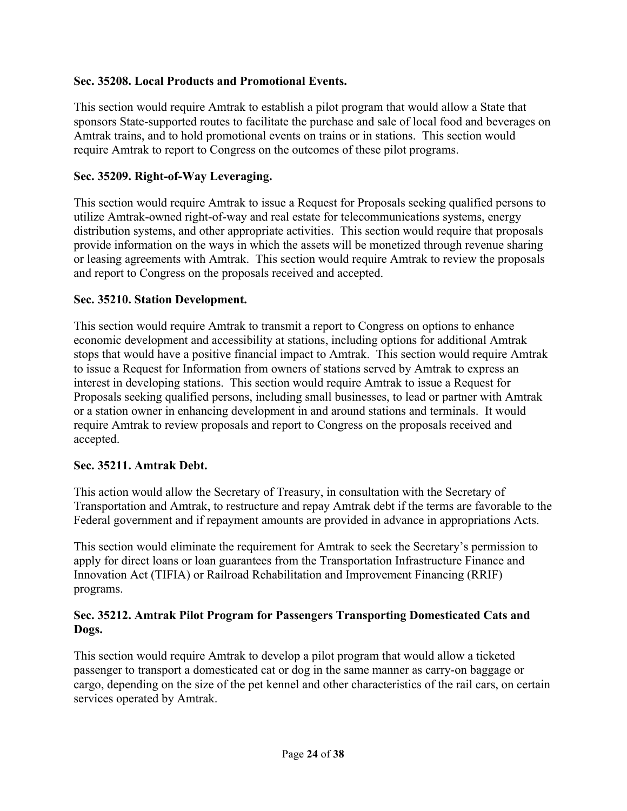### **Sec. 35208. Local Products and Promotional Events.**

This section would require Amtrak to establish a pilot program that would allow a State that sponsors State-supported routes to facilitate the purchase and sale of local food and beverages on Amtrak trains, and to hold promotional events on trains or in stations. This section would require Amtrak to report to Congress on the outcomes of these pilot programs.

### **Sec. 35209. Right-of-Way Leveraging.**

This section would require Amtrak to issue a Request for Proposals seeking qualified persons to utilize Amtrak-owned right-of-way and real estate for telecommunications systems, energy distribution systems, and other appropriate activities. This section would require that proposals provide information on the ways in which the assets will be monetized through revenue sharing or leasing agreements with Amtrak. This section would require Amtrak to review the proposals and report to Congress on the proposals received and accepted.

#### **Sec. 35210. Station Development.**

This section would require Amtrak to transmit a report to Congress on options to enhance economic development and accessibility at stations, including options for additional Amtrak stops that would have a positive financial impact to Amtrak. This section would require Amtrak to issue a Request for Information from owners of stations served by Amtrak to express an interest in developing stations. This section would require Amtrak to issue a Request for Proposals seeking qualified persons, including small businesses, to lead or partner with Amtrak or a station owner in enhancing development in and around stations and terminals. It would require Amtrak to review proposals and report to Congress on the proposals received and accepted.

#### **Sec. 35211. Amtrak Debt.**

This action would allow the Secretary of Treasury, in consultation with the Secretary of Transportation and Amtrak, to restructure and repay Amtrak debt if the terms are favorable to the Federal government and if repayment amounts are provided in advance in appropriations Acts.

This section would eliminate the requirement for Amtrak to seek the Secretary's permission to apply for direct loans or loan guarantees from the Transportation Infrastructure Finance and Innovation Act (TIFIA) or Railroad Rehabilitation and Improvement Financing (RRIF) programs.

#### **Sec. 35212. Amtrak Pilot Program for Passengers Transporting Domesticated Cats and Dogs.**

This section would require Amtrak to develop a pilot program that would allow a ticketed passenger to transport a domesticated cat or dog in the same manner as carry-on baggage or cargo, depending on the size of the pet kennel and other characteristics of the rail cars, on certain services operated by Amtrak.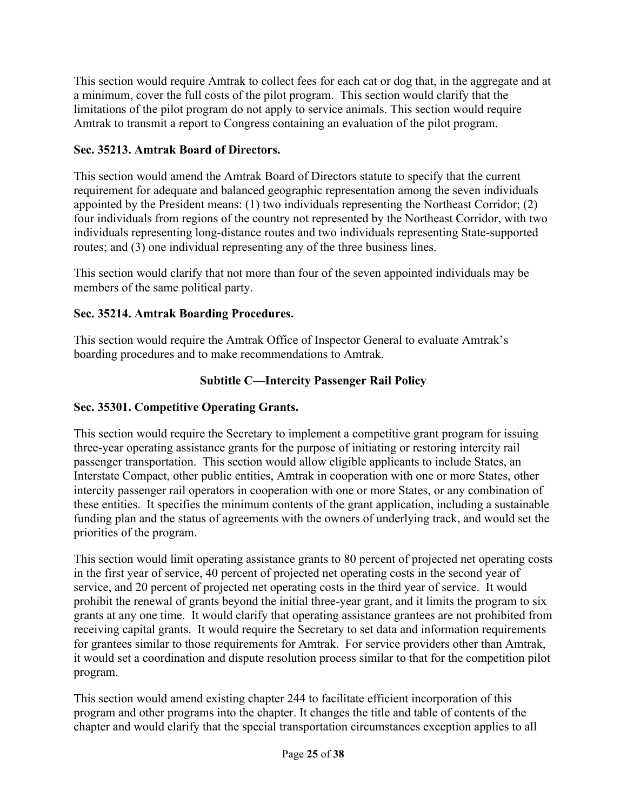This section would require Amtrak to collect fees for each cat or dog that, in the aggregate and at a minimum, cover the full costs of the pilot program. This section would clarify that the limitations of the pilot program do not apply to service animals. This section would require Amtrak to transmit a report to Congress containing an evaluation of the pilot program.

# **Sec. 35213. Amtrak Board of Directors.**

This section would amend the Amtrak Board of Directors statute to specify that the current requirement for adequate and balanced geographic representation among the seven individuals appointed by the President means: (1) two individuals representing the Northeast Corridor; (2) four individuals from regions of the country not represented by the Northeast Corridor, with two individuals representing long-distance routes and two individuals representing State-supported routes; and (3) one individual representing any of the three business lines.

This section would clarify that not more than four of the seven appointed individuals may be members of the same political party.

# **Sec. 35214. Amtrak Boarding Procedures.**

This section would require the Amtrak Office of Inspector General to evaluate Amtrak's boarding procedures and to make recommendations to Amtrak.

# **Subtitle C—Intercity Passenger Rail Policy**

# **Sec. 35301. Competitive Operating Grants.**

This section would require the Secretary to implement a competitive grant program for issuing three-year operating assistance grants for the purpose of initiating or restoring intercity rail passenger transportation. This section would allow eligible applicants to include States, an Interstate Compact, other public entities, Amtrak in cooperation with one or more States, other intercity passenger rail operators in cooperation with one or more States, or any combination of these entities. It specifies the minimum contents of the grant application, including a sustainable funding plan and the status of agreements with the owners of underlying track, and would set the priorities of the program.

This section would limit operating assistance grants to 80 percent of projected net operating costs in the first year of service, 40 percent of projected net operating costs in the second year of service, and 20 percent of projected net operating costs in the third year of service. It would prohibit the renewal of grants beyond the initial three-year grant, and it limits the program to six grants at any one time. It would clarify that operating assistance grantees are not prohibited from receiving capital grants. It would require the Secretary to set data and information requirements for grantees similar to those requirements for Amtrak. For service providers other than Amtrak, it would set a coordination and dispute resolution process similar to that for the competition pilot program.

This section would amend existing chapter 244 to facilitate efficient incorporation of this program and other programs into the chapter. It changes the title and table of contents of the chapter and would clarify that the special transportation circumstances exception applies to all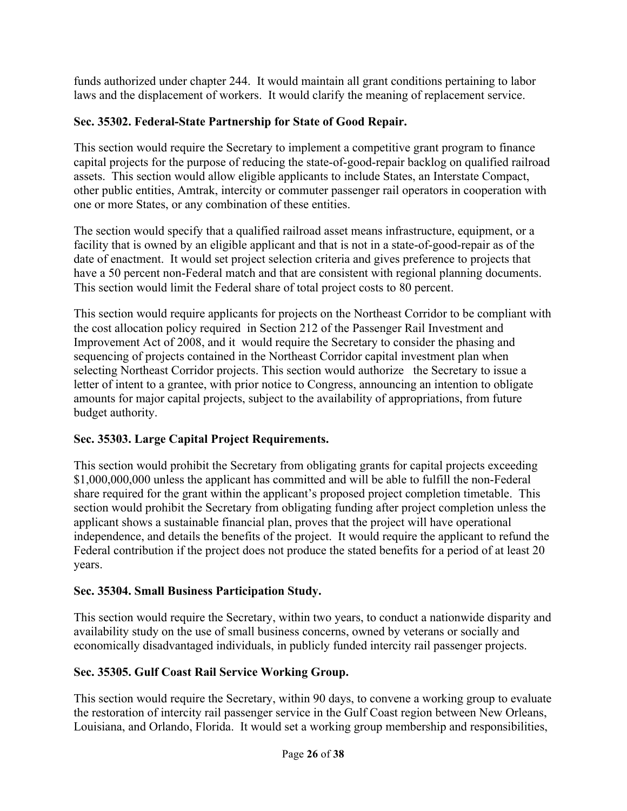funds authorized under chapter 244. It would maintain all grant conditions pertaining to labor laws and the displacement of workers. It would clarify the meaning of replacement service.

# **Sec. 35302. Federal-State Partnership for State of Good Repair.**

This section would require the Secretary to implement a competitive grant program to finance capital projects for the purpose of reducing the state-of-good-repair backlog on qualified railroad assets. This section would allow eligible applicants to include States, an Interstate Compact, other public entities, Amtrak, intercity or commuter passenger rail operators in cooperation with one or more States, or any combination of these entities.

The section would specify that a qualified railroad asset means infrastructure, equipment, or a facility that is owned by an eligible applicant and that is not in a state-of-good-repair as of the date of enactment. It would set project selection criteria and gives preference to projects that have a 50 percent non-Federal match and that are consistent with regional planning documents. This section would limit the Federal share of total project costs to 80 percent.

This section would require applicants for projects on the Northeast Corridor to be compliant with the cost allocation policy required in Section 212 of the Passenger Rail Investment and Improvement Act of 2008, and it would require the Secretary to consider the phasing and sequencing of projects contained in the Northeast Corridor capital investment plan when selecting Northeast Corridor projects. This section would authorize the Secretary to issue a letter of intent to a grantee, with prior notice to Congress, announcing an intention to obligate amounts for major capital projects, subject to the availability of appropriations, from future budget authority.

# **Sec. 35303. Large Capital Project Requirements.**

This section would prohibit the Secretary from obligating grants for capital projects exceeding \$1,000,000,000 unless the applicant has committed and will be able to fulfill the non-Federal share required for the grant within the applicant's proposed project completion timetable. This section would prohibit the Secretary from obligating funding after project completion unless the applicant shows a sustainable financial plan, proves that the project will have operational independence, and details the benefits of the project. It would require the applicant to refund the Federal contribution if the project does not produce the stated benefits for a period of at least 20 years.

# **Sec. 35304. Small Business Participation Study.**

This section would require the Secretary, within two years, to conduct a nationwide disparity and availability study on the use of small business concerns, owned by veterans or socially and economically disadvantaged individuals, in publicly funded intercity rail passenger projects.

# **Sec. 35305. Gulf Coast Rail Service Working Group.**

This section would require the Secretary, within 90 days, to convene a working group to evaluate the restoration of intercity rail passenger service in the Gulf Coast region between New Orleans, Louisiana, and Orlando, Florida. It would set a working group membership and responsibilities,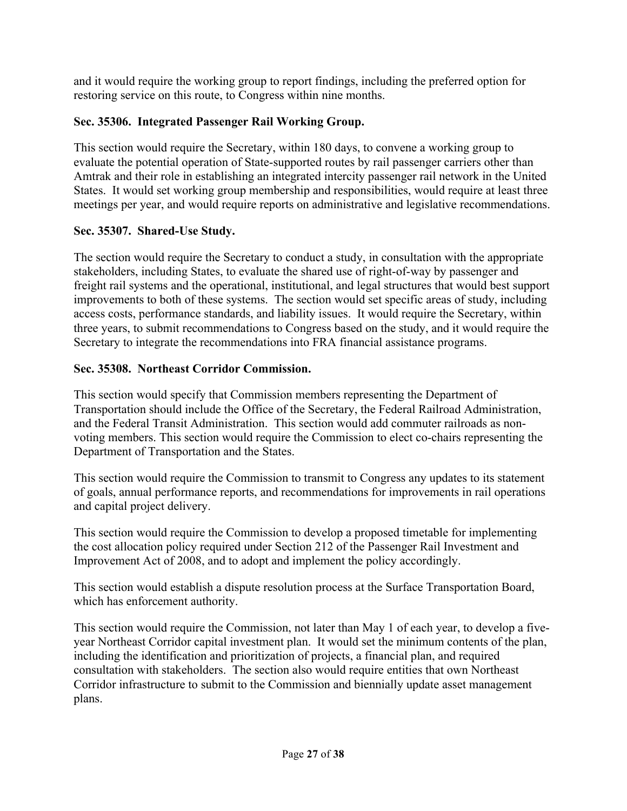and it would require the working group to report findings, including the preferred option for restoring service on this route, to Congress within nine months.

# **Sec. 35306. Integrated Passenger Rail Working Group.**

This section would require the Secretary, within 180 days, to convene a working group to evaluate the potential operation of State-supported routes by rail passenger carriers other than Amtrak and their role in establishing an integrated intercity passenger rail network in the United States. It would set working group membership and responsibilities, would require at least three meetings per year, and would require reports on administrative and legislative recommendations.

# **Sec. 35307. Shared-Use Study.**

The section would require the Secretary to conduct a study, in consultation with the appropriate stakeholders, including States, to evaluate the shared use of right-of-way by passenger and freight rail systems and the operational, institutional, and legal structures that would best support improvements to both of these systems. The section would set specific areas of study, including access costs, performance standards, and liability issues. It would require the Secretary, within three years, to submit recommendations to Congress based on the study, and it would require the Secretary to integrate the recommendations into FRA financial assistance programs.

# **Sec. 35308. Northeast Corridor Commission.**

This section would specify that Commission members representing the Department of Transportation should include the Office of the Secretary, the Federal Railroad Administration, and the Federal Transit Administration. This section would add commuter railroads as nonvoting members. This section would require the Commission to elect co-chairs representing the Department of Transportation and the States.

This section would require the Commission to transmit to Congress any updates to its statement of goals, annual performance reports, and recommendations for improvements in rail operations and capital project delivery.

This section would require the Commission to develop a proposed timetable for implementing the cost allocation policy required under Section 212 of the Passenger Rail Investment and Improvement Act of 2008, and to adopt and implement the policy accordingly.

This section would establish a dispute resolution process at the Surface Transportation Board, which has enforcement authority.

This section would require the Commission, not later than May 1 of each year, to develop a fiveyear Northeast Corridor capital investment plan. It would set the minimum contents of the plan, including the identification and prioritization of projects, a financial plan, and required consultation with stakeholders. The section also would require entities that own Northeast Corridor infrastructure to submit to the Commission and biennially update asset management plans.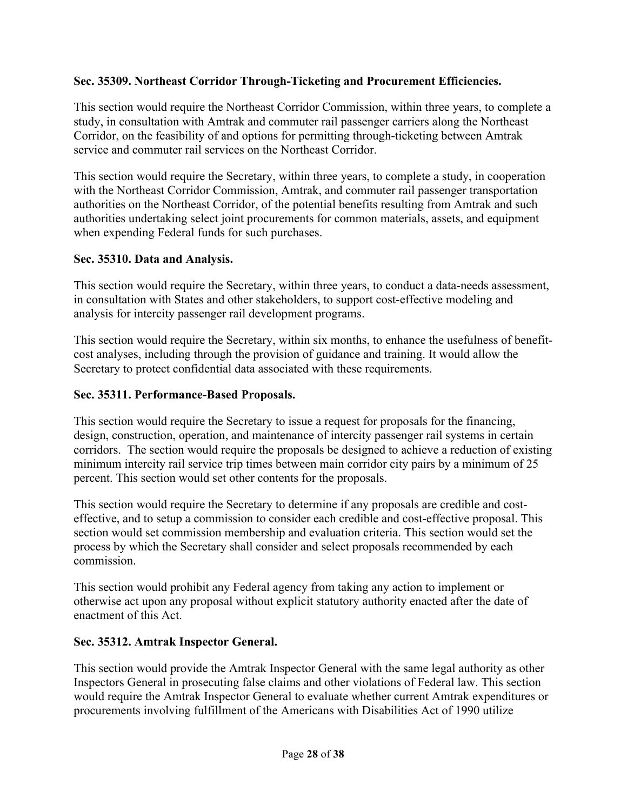## **Sec. 35309. Northeast Corridor Through-Ticketing and Procurement Efficiencies.**

This section would require the Northeast Corridor Commission, within three years, to complete a study, in consultation with Amtrak and commuter rail passenger carriers along the Northeast Corridor, on the feasibility of and options for permitting through-ticketing between Amtrak service and commuter rail services on the Northeast Corridor.

This section would require the Secretary, within three years, to complete a study, in cooperation with the Northeast Corridor Commission, Amtrak, and commuter rail passenger transportation authorities on the Northeast Corridor, of the potential benefits resulting from Amtrak and such authorities undertaking select joint procurements for common materials, assets, and equipment when expending Federal funds for such purchases.

#### **Sec. 35310. Data and Analysis.**

This section would require the Secretary, within three years, to conduct a data-needs assessment, in consultation with States and other stakeholders, to support cost-effective modeling and analysis for intercity passenger rail development programs.

This section would require the Secretary, within six months, to enhance the usefulness of benefitcost analyses, including through the provision of guidance and training. It would allow the Secretary to protect confidential data associated with these requirements.

### **Sec. 35311. Performance-Based Proposals.**

This section would require the Secretary to issue a request for proposals for the financing, design, construction, operation, and maintenance of intercity passenger rail systems in certain corridors. The section would require the proposals be designed to achieve a reduction of existing minimum intercity rail service trip times between main corridor city pairs by a minimum of 25 percent. This section would set other contents for the proposals.

This section would require the Secretary to determine if any proposals are credible and costeffective, and to setup a commission to consider each credible and cost-effective proposal. This section would set commission membership and evaluation criteria. This section would set the process by which the Secretary shall consider and select proposals recommended by each commission.

This section would prohibit any Federal agency from taking any action to implement or otherwise act upon any proposal without explicit statutory authority enacted after the date of enactment of this Act.

#### **Sec. 35312. Amtrak Inspector General.**

This section would provide the Amtrak Inspector General with the same legal authority as other Inspectors General in prosecuting false claims and other violations of Federal law. This section would require the Amtrak Inspector General to evaluate whether current Amtrak expenditures or procurements involving fulfillment of the Americans with Disabilities Act of 1990 utilize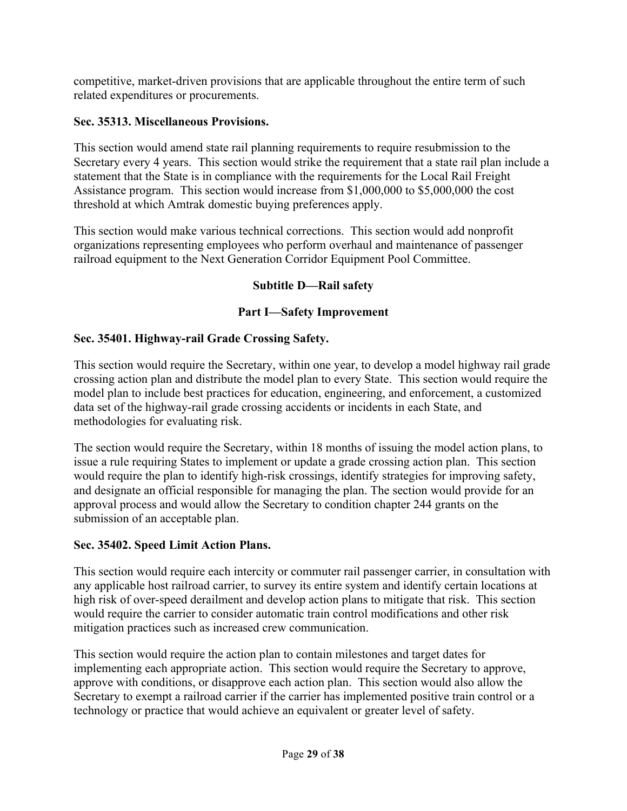competitive, market-driven provisions that are applicable throughout the entire term of such related expenditures or procurements.

# **Sec. 35313. Miscellaneous Provisions.**

This section would amend state rail planning requirements to require resubmission to the Secretary every 4 years. This section would strike the requirement that a state rail plan include a statement that the State is in compliance with the requirements for the Local Rail Freight Assistance program. This section would increase from \$1,000,000 to \$5,000,000 the cost threshold at which Amtrak domestic buying preferences apply.

This section would make various technical corrections. This section would add nonprofit organizations representing employees who perform overhaul and maintenance of passenger railroad equipment to the Next Generation Corridor Equipment Pool Committee.

# **Subtitle D—Rail safety**

# **Part I—Safety Improvement**

# **Sec. 35401. Highway-rail Grade Crossing Safety.**

This section would require the Secretary, within one year, to develop a model highway rail grade crossing action plan and distribute the model plan to every State. This section would require the model plan to include best practices for education, engineering, and enforcement, a customized data set of the highway-rail grade crossing accidents or incidents in each State, and methodologies for evaluating risk.

The section would require the Secretary, within 18 months of issuing the model action plans, to issue a rule requiring States to implement or update a grade crossing action plan. This section would require the plan to identify high-risk crossings, identify strategies for improving safety, and designate an official responsible for managing the plan. The section would provide for an approval process and would allow the Secretary to condition chapter 244 grants on the submission of an acceptable plan.

# **Sec. 35402. Speed Limit Action Plans.**

This section would require each intercity or commuter rail passenger carrier, in consultation with any applicable host railroad carrier, to survey its entire system and identify certain locations at high risk of over-speed derailment and develop action plans to mitigate that risk. This section would require the carrier to consider automatic train control modifications and other risk mitigation practices such as increased crew communication.

This section would require the action plan to contain milestones and target dates for implementing each appropriate action. This section would require the Secretary to approve, approve with conditions, or disapprove each action plan. This section would also allow the Secretary to exempt a railroad carrier if the carrier has implemented positive train control or a technology or practice that would achieve an equivalent or greater level of safety.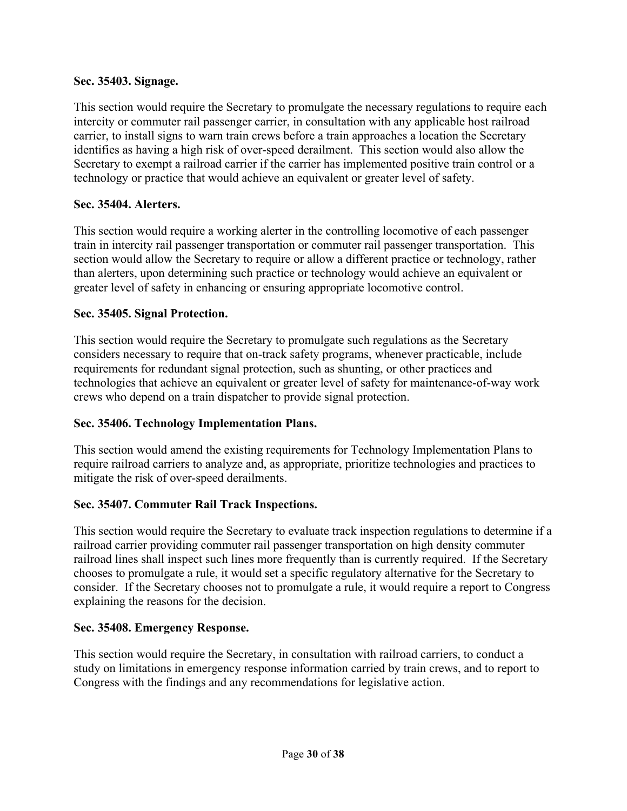#### **Sec. 35403. Signage.**

This section would require the Secretary to promulgate the necessary regulations to require each intercity or commuter rail passenger carrier, in consultation with any applicable host railroad carrier, to install signs to warn train crews before a train approaches a location the Secretary identifies as having a high risk of over-speed derailment. This section would also allow the Secretary to exempt a railroad carrier if the carrier has implemented positive train control or a technology or practice that would achieve an equivalent or greater level of safety.

## **Sec. 35404. Alerters.**

This section would require a working alerter in the controlling locomotive of each passenger train in intercity rail passenger transportation or commuter rail passenger transportation. This section would allow the Secretary to require or allow a different practice or technology, rather than alerters, upon determining such practice or technology would achieve an equivalent or greater level of safety in enhancing or ensuring appropriate locomotive control.

### **Sec. 35405. Signal Protection.**

This section would require the Secretary to promulgate such regulations as the Secretary considers necessary to require that on-track safety programs, whenever practicable, include requirements for redundant signal protection, such as shunting, or other practices and technologies that achieve an equivalent or greater level of safety for maintenance-of-way work crews who depend on a train dispatcher to provide signal protection.

# **Sec. 35406. Technology Implementation Plans.**

This section would amend the existing requirements for Technology Implementation Plans to require railroad carriers to analyze and, as appropriate, prioritize technologies and practices to mitigate the risk of over-speed derailments.

# **Sec. 35407. Commuter Rail Track Inspections.**

This section would require the Secretary to evaluate track inspection regulations to determine if a railroad carrier providing commuter rail passenger transportation on high density commuter railroad lines shall inspect such lines more frequently than is currently required. If the Secretary chooses to promulgate a rule, it would set a specific regulatory alternative for the Secretary to consider. If the Secretary chooses not to promulgate a rule, it would require a report to Congress explaining the reasons for the decision.

#### **Sec. 35408. Emergency Response.**

This section would require the Secretary, in consultation with railroad carriers, to conduct a study on limitations in emergency response information carried by train crews, and to report to Congress with the findings and any recommendations for legislative action.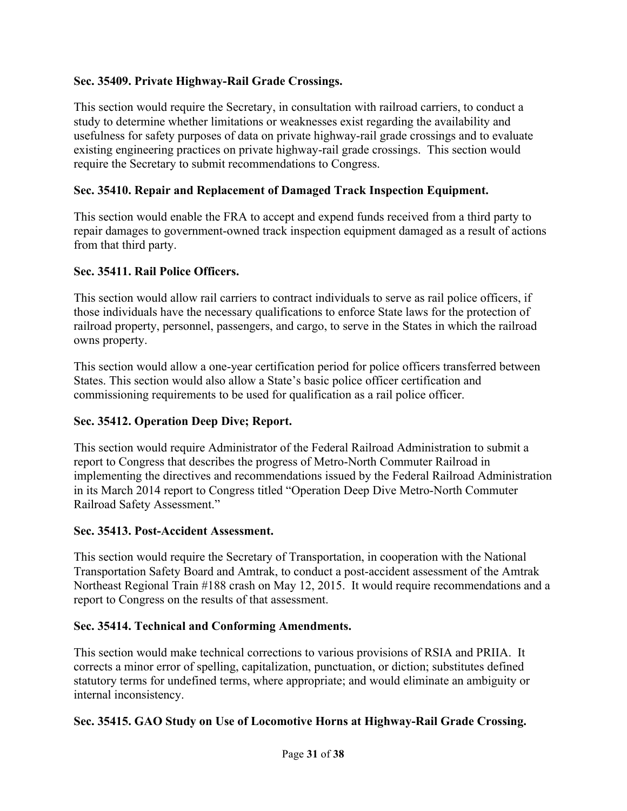# **Sec. 35409. Private Highway-Rail Grade Crossings.**

This section would require the Secretary, in consultation with railroad carriers, to conduct a study to determine whether limitations or weaknesses exist regarding the availability and usefulness for safety purposes of data on private highway-rail grade crossings and to evaluate existing engineering practices on private highway-rail grade crossings. This section would require the Secretary to submit recommendations to Congress.

### **Sec. 35410. Repair and Replacement of Damaged Track Inspection Equipment.**

This section would enable the FRA to accept and expend funds received from a third party to repair damages to government-owned track inspection equipment damaged as a result of actions from that third party.

#### **Sec. 35411. Rail Police Officers.**

This section would allow rail carriers to contract individuals to serve as rail police officers, if those individuals have the necessary qualifications to enforce State laws for the protection of railroad property, personnel, passengers, and cargo, to serve in the States in which the railroad owns property.

This section would allow a one-year certification period for police officers transferred between States. This section would also allow a State's basic police officer certification and commissioning requirements to be used for qualification as a rail police officer.

#### **Sec. 35412. Operation Deep Dive; Report.**

This section would require Administrator of the Federal Railroad Administration to submit a report to Congress that describes the progress of Metro-North Commuter Railroad in implementing the directives and recommendations issued by the Federal Railroad Administration in its March 2014 report to Congress titled "Operation Deep Dive Metro-North Commuter Railroad Safety Assessment."

#### **Sec. 35413. Post-Accident Assessment.**

This section would require the Secretary of Transportation, in cooperation with the National Transportation Safety Board and Amtrak, to conduct a post-accident assessment of the Amtrak Northeast Regional Train #188 crash on May 12, 2015. It would require recommendations and a report to Congress on the results of that assessment.

#### **Sec. 35414. Technical and Conforming Amendments.**

This section would make technical corrections to various provisions of RSIA and PRIIA. It corrects a minor error of spelling, capitalization, punctuation, or diction; substitutes defined statutory terms for undefined terms, where appropriate; and would eliminate an ambiguity or internal inconsistency.

#### **Sec. 35415. GAO Study on Use of Locomotive Horns at Highway-Rail Grade Crossing.**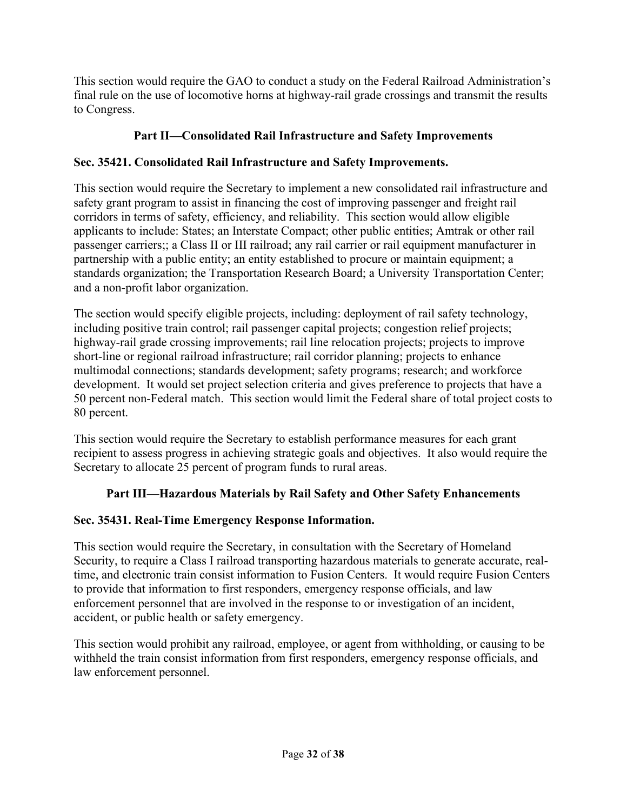This section would require the GAO to conduct a study on the Federal Railroad Administration's final rule on the use of locomotive horns at highway-rail grade crossings and transmit the results to Congress.

# **Part II—Consolidated Rail Infrastructure and Safety Improvements**

# **Sec. 35421. Consolidated Rail Infrastructure and Safety Improvements.**

This section would require the Secretary to implement a new consolidated rail infrastructure and safety grant program to assist in financing the cost of improving passenger and freight rail corridors in terms of safety, efficiency, and reliability. This section would allow eligible applicants to include: States; an Interstate Compact; other public entities; Amtrak or other rail passenger carriers;; a Class II or III railroad; any rail carrier or rail equipment manufacturer in partnership with a public entity; an entity established to procure or maintain equipment; a standards organization; the Transportation Research Board; a University Transportation Center; and a non-profit labor organization.

The section would specify eligible projects, including: deployment of rail safety technology, including positive train control; rail passenger capital projects; congestion relief projects; highway-rail grade crossing improvements; rail line relocation projects; projects to improve short-line or regional railroad infrastructure; rail corridor planning; projects to enhance multimodal connections; standards development; safety programs; research; and workforce development. It would set project selection criteria and gives preference to projects that have a 50 percent non-Federal match. This section would limit the Federal share of total project costs to 80 percent.

This section would require the Secretary to establish performance measures for each grant recipient to assess progress in achieving strategic goals and objectives. It also would require the Secretary to allocate 25 percent of program funds to rural areas.

# **Part III—Hazardous Materials by Rail Safety and Other Safety Enhancements**

# **Sec. 35431. Real-Time Emergency Response Information.**

This section would require the Secretary, in consultation with the Secretary of Homeland Security, to require a Class I railroad transporting hazardous materials to generate accurate, realtime, and electronic train consist information to Fusion Centers. It would require Fusion Centers to provide that information to first responders, emergency response officials, and law enforcement personnel that are involved in the response to or investigation of an incident, accident, or public health or safety emergency.

This section would prohibit any railroad, employee, or agent from withholding, or causing to be withheld the train consist information from first responders, emergency response officials, and law enforcement personnel.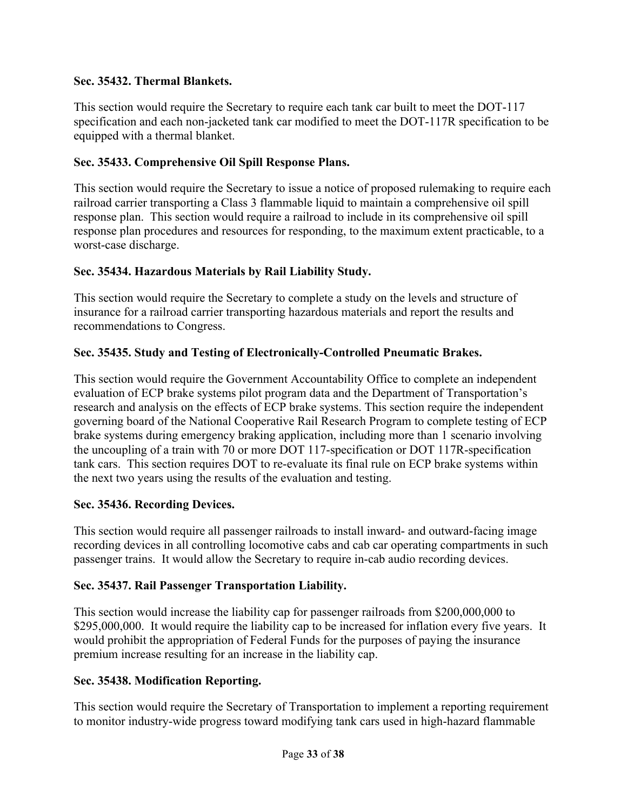### **Sec. 35432. Thermal Blankets.**

This section would require the Secretary to require each tank car built to meet the DOT-117 specification and each non-jacketed tank car modified to meet the DOT-117R specification to be equipped with a thermal blanket.

## **Sec. 35433. Comprehensive Oil Spill Response Plans.**

This section would require the Secretary to issue a notice of proposed rulemaking to require each railroad carrier transporting a Class 3 flammable liquid to maintain a comprehensive oil spill response plan. This section would require a railroad to include in its comprehensive oil spill response plan procedures and resources for responding, to the maximum extent practicable, to a worst-case discharge.

### **Sec. 35434. Hazardous Materials by Rail Liability Study.**

This section would require the Secretary to complete a study on the levels and structure of insurance for a railroad carrier transporting hazardous materials and report the results and recommendations to Congress.

# **Sec. 35435. Study and Testing of Electronically-Controlled Pneumatic Brakes.**

This section would require the Government Accountability Office to complete an independent evaluation of ECP brake systems pilot program data and the Department of Transportation's research and analysis on the effects of ECP brake systems. This section require the independent governing board of the National Cooperative Rail Research Program to complete testing of ECP brake systems during emergency braking application, including more than 1 scenario involving the uncoupling of a train with 70 or more DOT 117-specification or DOT 117R-specification tank cars. This section requires DOT to re-evaluate its final rule on ECP brake systems within the next two years using the results of the evaluation and testing.

#### **Sec. 35436. Recording Devices.**

This section would require all passenger railroads to install inward- and outward-facing image recording devices in all controlling locomotive cabs and cab car operating compartments in such passenger trains. It would allow the Secretary to require in-cab audio recording devices.

#### **Sec. 35437. Rail Passenger Transportation Liability.**

This section would increase the liability cap for passenger railroads from \$200,000,000 to \$295,000,000. It would require the liability cap to be increased for inflation every five years. It would prohibit the appropriation of Federal Funds for the purposes of paying the insurance premium increase resulting for an increase in the liability cap.

#### **Sec. 35438. Modification Reporting.**

This section would require the Secretary of Transportation to implement a reporting requirement to monitor industry-wide progress toward modifying tank cars used in high-hazard flammable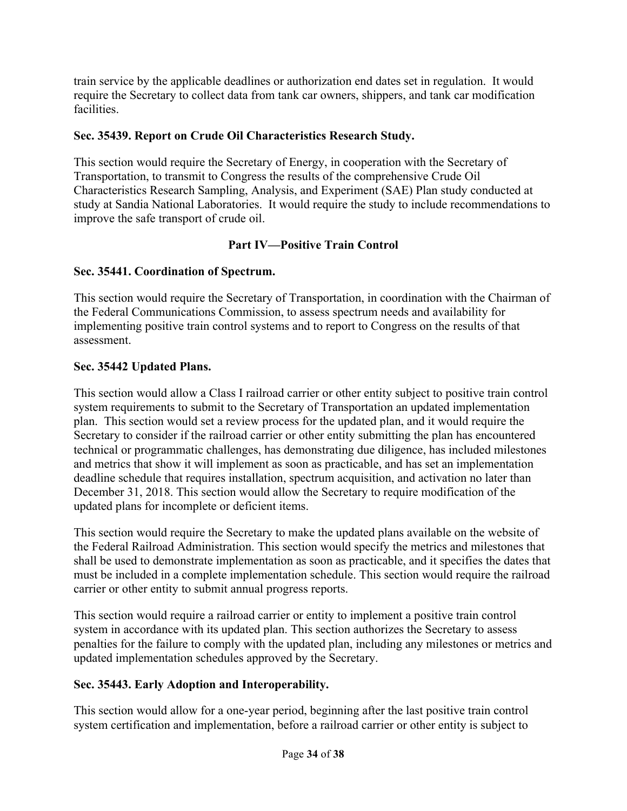train service by the applicable deadlines or authorization end dates set in regulation. It would require the Secretary to collect data from tank car owners, shippers, and tank car modification facilities.

# **Sec. 35439. Report on Crude Oil Characteristics Research Study.**

This section would require the Secretary of Energy, in cooperation with the Secretary of Transportation, to transmit to Congress the results of the comprehensive Crude Oil Characteristics Research Sampling, Analysis, and Experiment (SAE) Plan study conducted at study at Sandia National Laboratories. It would require the study to include recommendations to improve the safe transport of crude oil.

# **Part IV—Positive Train Control**

# **Sec. 35441. Coordination of Spectrum.**

This section would require the Secretary of Transportation, in coordination with the Chairman of the Federal Communications Commission, to assess spectrum needs and availability for implementing positive train control systems and to report to Congress on the results of that assessment.

# **Sec. 35442 Updated Plans.**

This section would allow a Class I railroad carrier or other entity subject to positive train control system requirements to submit to the Secretary of Transportation an updated implementation plan. This section would set a review process for the updated plan, and it would require the Secretary to consider if the railroad carrier or other entity submitting the plan has encountered technical or programmatic challenges, has demonstrating due diligence, has included milestones and metrics that show it will implement as soon as practicable, and has set an implementation deadline schedule that requires installation, spectrum acquisition, and activation no later than December 31, 2018. This section would allow the Secretary to require modification of the updated plans for incomplete or deficient items.

This section would require the Secretary to make the updated plans available on the website of the Federal Railroad Administration. This section would specify the metrics and milestones that shall be used to demonstrate implementation as soon as practicable, and it specifies the dates that must be included in a complete implementation schedule. This section would require the railroad carrier or other entity to submit annual progress reports.

This section would require a railroad carrier or entity to implement a positive train control system in accordance with its updated plan. This section authorizes the Secretary to assess penalties for the failure to comply with the updated plan, including any milestones or metrics and updated implementation schedules approved by the Secretary.

# **Sec. 35443. Early Adoption and Interoperability.**

This section would allow for a one-year period, beginning after the last positive train control system certification and implementation, before a railroad carrier or other entity is subject to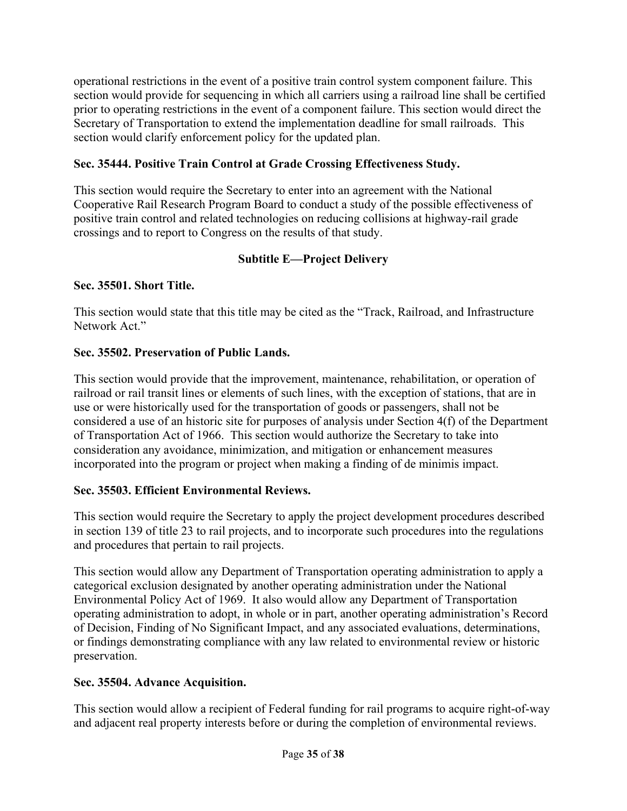operational restrictions in the event of a positive train control system component failure. This section would provide for sequencing in which all carriers using a railroad line shall be certified prior to operating restrictions in the event of a component failure. This section would direct the Secretary of Transportation to extend the implementation deadline for small railroads. This section would clarify enforcement policy for the updated plan.

# **Sec. 35444. Positive Train Control at Grade Crossing Effectiveness Study.**

This section would require the Secretary to enter into an agreement with the National Cooperative Rail Research Program Board to conduct a study of the possible effectiveness of positive train control and related technologies on reducing collisions at highway-rail grade crossings and to report to Congress on the results of that study.

# **Subtitle E—Project Delivery**

# **Sec. 35501. Short Title.**

This section would state that this title may be cited as the "Track, Railroad, and Infrastructure Network Act."

# **Sec. 35502. Preservation of Public Lands.**

This section would provide that the improvement, maintenance, rehabilitation, or operation of railroad or rail transit lines or elements of such lines, with the exception of stations, that are in use or were historically used for the transportation of goods or passengers, shall not be considered a use of an historic site for purposes of analysis under Section 4(f) of the Department of Transportation Act of 1966. This section would authorize the Secretary to take into consideration any avoidance, minimization, and mitigation or enhancement measures incorporated into the program or project when making a finding of de minimis impact.

# **Sec. 35503. Efficient Environmental Reviews.**

This section would require the Secretary to apply the project development procedures described in section 139 of title 23 to rail projects, and to incorporate such procedures into the regulations and procedures that pertain to rail projects.

This section would allow any Department of Transportation operating administration to apply a categorical exclusion designated by another operating administration under the National Environmental Policy Act of 1969. It also would allow any Department of Transportation operating administration to adopt, in whole or in part, another operating administration's Record of Decision, Finding of No Significant Impact, and any associated evaluations, determinations, or findings demonstrating compliance with any law related to environmental review or historic preservation.

# **Sec. 35504. Advance Acquisition.**

This section would allow a recipient of Federal funding for rail programs to acquire right-of-way and adjacent real property interests before or during the completion of environmental reviews.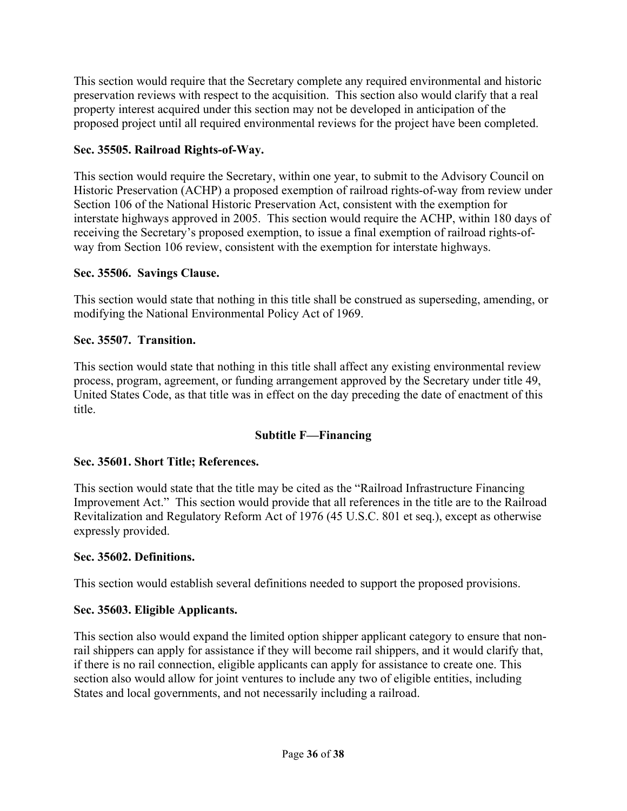This section would require that the Secretary complete any required environmental and historic preservation reviews with respect to the acquisition. This section also would clarify that a real property interest acquired under this section may not be developed in anticipation of the proposed project until all required environmental reviews for the project have been completed.

# **Sec. 35505. Railroad Rights-of-Way.**

This section would require the Secretary, within one year, to submit to the Advisory Council on Historic Preservation (ACHP) a proposed exemption of railroad rights-of-way from review under Section 106 of the National Historic Preservation Act, consistent with the exemption for interstate highways approved in 2005. This section would require the ACHP, within 180 days of receiving the Secretary's proposed exemption, to issue a final exemption of railroad rights-ofway from Section 106 review, consistent with the exemption for interstate highways.

# **Sec. 35506. Savings Clause.**

This section would state that nothing in this title shall be construed as superseding, amending, or modifying the National Environmental Policy Act of 1969.

### **Sec. 35507. Transition.**

This section would state that nothing in this title shall affect any existing environmental review process, program, agreement, or funding arrangement approved by the Secretary under title 49, United States Code, as that title was in effect on the day preceding the date of enactment of this title.

# **Subtitle F—Financing**

# **Sec. 35601. Short Title; References.**

This section would state that the title may be cited as the "Railroad Infrastructure Financing Improvement Act." This section would provide that all references in the title are to the Railroad Revitalization and Regulatory Reform Act of 1976 (45 U.S.C. 801 et seq.), except as otherwise expressly provided.

#### **Sec. 35602. Definitions.**

This section would establish several definitions needed to support the proposed provisions.

# **Sec. 35603. Eligible Applicants.**

This section also would expand the limited option shipper applicant category to ensure that nonrail shippers can apply for assistance if they will become rail shippers, and it would clarify that, if there is no rail connection, eligible applicants can apply for assistance to create one. This section also would allow for joint ventures to include any two of eligible entities, including States and local governments, and not necessarily including a railroad.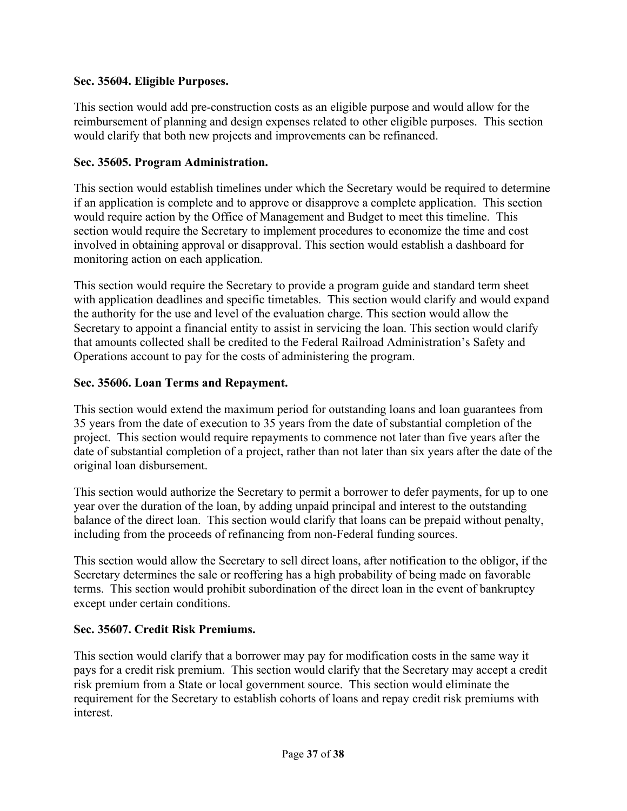### **Sec. 35604. Eligible Purposes.**

This section would add pre-construction costs as an eligible purpose and would allow for the reimbursement of planning and design expenses related to other eligible purposes. This section would clarify that both new projects and improvements can be refinanced.

### **Sec. 35605. Program Administration.**

This section would establish timelines under which the Secretary would be required to determine if an application is complete and to approve or disapprove a complete application. This section would require action by the Office of Management and Budget to meet this timeline. This section would require the Secretary to implement procedures to economize the time and cost involved in obtaining approval or disapproval. This section would establish a dashboard for monitoring action on each application.

This section would require the Secretary to provide a program guide and standard term sheet with application deadlines and specific timetables. This section would clarify and would expand the authority for the use and level of the evaluation charge. This section would allow the Secretary to appoint a financial entity to assist in servicing the loan. This section would clarify that amounts collected shall be credited to the Federal Railroad Administration's Safety and Operations account to pay for the costs of administering the program.

### **Sec. 35606. Loan Terms and Repayment.**

This section would extend the maximum period for outstanding loans and loan guarantees from 35 years from the date of execution to 35 years from the date of substantial completion of the project. This section would require repayments to commence not later than five years after the date of substantial completion of a project, rather than not later than six years after the date of the original loan disbursement.

This section would authorize the Secretary to permit a borrower to defer payments, for up to one year over the duration of the loan, by adding unpaid principal and interest to the outstanding balance of the direct loan. This section would clarify that loans can be prepaid without penalty, including from the proceeds of refinancing from non-Federal funding sources.

This section would allow the Secretary to sell direct loans, after notification to the obligor, if the Secretary determines the sale or reoffering has a high probability of being made on favorable terms. This section would prohibit subordination of the direct loan in the event of bankruptcy except under certain conditions.

#### **Sec. 35607. Credit Risk Premiums.**

This section would clarify that a borrower may pay for modification costs in the same way it pays for a credit risk premium. This section would clarify that the Secretary may accept a credit risk premium from a State or local government source. This section would eliminate the requirement for the Secretary to establish cohorts of loans and repay credit risk premiums with interest.